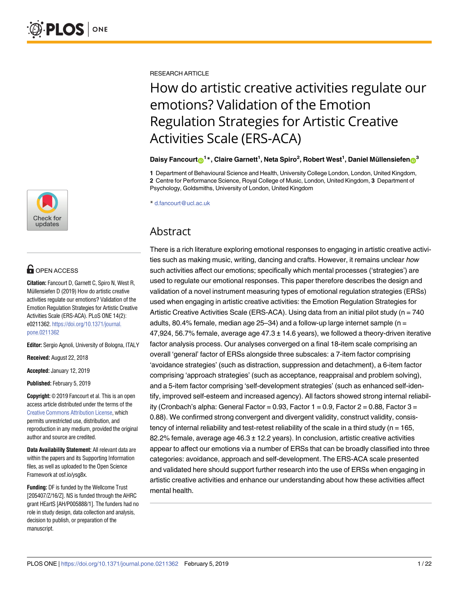

## **OPEN ACCESS**

**Citation:** Fancourt D, Garnett C, Spiro N, West R, Müllensiefen D (2019) How do artistic creative activities regulate our emotions? Validation of the Emotion Regulation Strategies for Artistic Creative Activities Scale (ERS-ACA). PLoS ONE 14(2): e0211362. [https://doi.org/10.1371/journal.](https://doi.org/10.1371/journal.pone.0211362) [pone.0211362](https://doi.org/10.1371/journal.pone.0211362)

**Editor:** Sergio Agnoli, University of Bologna, ITALY

**Received:** August 22, 2018

**Accepted:** January 12, 2019

**Published:** February 5, 2019

**Copyright:** © 2019 Fancourt et al. This is an open access article distributed under the terms of the Creative Commons [Attribution](http://creativecommons.org/licenses/by/4.0/) License, which permits unrestricted use, distribution, and reproduction in any medium, provided the original author and source are credited.

**Data Availability Statement:** All relevant data are within the papers and its Supporting Information files, as well as uploaded to the Open Science Framework at osf.io/ysg8x.

**Funding:** DF is funded by the Wellcome Trust [205407/Z/16/Z]. NS is funded through the AHRC grant HEartS [AH/P005888/1]. The funders had no role in study design, data collection and analysis, decision to publish, or preparation of the manuscript.

RESEARCH ARTICLE

# How do artistic creative activities regulate our emotions? Validation of the Emotion Regulation Strategies for Artistic Creative Activities Scale (ERS-ACA)

 $\Delta$ Daisy Fancourt $\mathrm{C}^{1*}$ , Claire Garnett<sup>1</sup>, Neta Spiro<sup>2</sup>, Robert West<sup>1</sup>, Daniel Müllensiefen $\mathrm{C}^{3}$ 

**1** Department of Behavioural Science and Health, University College London, London, United Kingdom, **2** Centre for Performance Science, Royal College of Music, London, United Kingdom, **3** Department of Psychology, Goldsmiths, University of London, United Kingdom

\* d.fancourt@ucl.ac.uk

## Abstract

There is a rich literature exploring emotional responses to engaging in artistic creative activities such as making music, writing, dancing and crafts. However, it remains unclear how such activities affect our emotions; specifically which mental processes ('strategies') are used to regulate our emotional responses. This paper therefore describes the design and validation of a novel instrument measuring types of emotional regulation strategies (ERSs) used when engaging in artistic creative activities: the Emotion Regulation Strategies for Artistic Creative Activities Scale (ERS-ACA). Using data from an initial pilot study (n = 740 adults, 80.4% female, median age  $25-34$ ) and a follow-up large internet sample (n = 47,924, 56.7% female, average age  $47.3 \pm 14.6$  years), we followed a theory-driven iterative factor analysis process. Our analyses converged on a final 18-item scale comprising an overall 'general' factor of ERSs alongside three subscales: a 7-item factor comprising 'avoidance strategies' (such as distraction, suppression and detachment), a 6-item factor comprising 'approach strategies' (such as acceptance, reappraisal and problem solving), and a 5-item factor comprising 'self-development strategies' (such as enhanced self-identify, improved self-esteem and increased agency). All factors showed strong internal reliability (Cronbach's alpha: General Factor =  $0.93$ , Factor 1 =  $0.9$ , Factor  $2 = 0.88$ , Factor 3 = 0.88). We confirmed strong convergent and divergent validity, construct validity, consistency of internal reliability and test-retest reliability of the scale in a third study ( $n = 165$ , 82.2% female, average age 46.3 ± 12.2 years). In conclusion, artistic creative activities appear to affect our emotions via a number of ERSs that can be broadly classified into three categories: avoidance, approach and self-development. The ERS-ACA scale presented and validated here should support further research into the use of ERSs when engaging in artistic creative activities and enhance our understanding about how these activities affect mental health.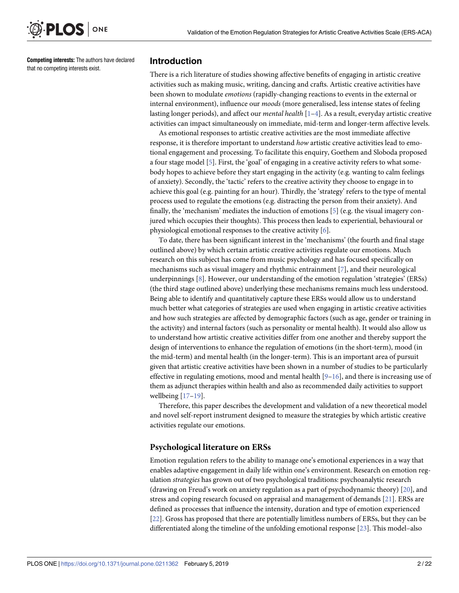<span id="page-1-0"></span>

**Competing interests:** The authors have declared that no competing interests exist.

## **Introduction**

There is a rich literature of studies showing affective benefits of engaging in artistic creative activities such as making music, writing, dancing and crafts. Artistic creative activities have been shown to modulate *emotions* (rapidly-changing reactions to events in the external or internal environment), influence our *moods* (more generalised, less intense states of feeling lasting longer periods), and affect our *mental health* [\[1–](#page-17-0)[4\]](#page-18-0). As a result, everyday artistic creative activities can impact simultaneously on immediate, mid-term and longer-term affective levels.

As emotional responses to artistic creative activities are the most immediate affective response, it is therefore important to understand *how* artistic creative activities lead to emotional engagement and processing. To facilitate this enquiry, Goethem and Sloboda proposed a four stage model [[5](#page-18-0)]. First, the 'goal' of engaging in a creative activity refers to what somebody hopes to achieve before they start engaging in the activity (e.g. wanting to calm feelings of anxiety). Secondly, the 'tactic' refers to the creative activity they choose to engage in to achieve this goal (e.g. painting for an hour). Thirdly, the 'strategy' refers to the type of mental process used to regulate the emotions (e.g. distracting the person from their anxiety). And finally, the 'mechanism' mediates the induction of emotions [[5](#page-18-0)] (e.g. the visual imagery conjured which occupies their thoughts). This process then leads to experiential, behavioural or physiological emotional responses to the creative activity [[6\]](#page-18-0).

To date, there has been significant interest in the 'mechanisms' (the fourth and final stage outlined above) by which certain artistic creative activities regulate our emotions. Much research on this subject has come from music psychology and has focused specifically on mechanisms such as visual imagery and rhythmic entrainment [\[7](#page-18-0)], and their neurological underpinnings [[8\]](#page-18-0). However, our understanding of the emotion regulation 'strategies' (ERSs) (the third stage outlined above) underlying these mechanisms remains much less understood. Being able to identify and quantitatively capture these ERSs would allow us to understand much better what categories of strategies are used when engaging in artistic creative activities and how such strategies are affected by demographic factors (such as age, gender or training in the activity) and internal factors (such as personality or mental health). It would also allow us to understand how artistic creative activities differ from one another and thereby support the design of interventions to enhance the regulation of emotions (in the short-term), mood (in the mid-term) and mental health (in the longer-term). This is an important area of pursuit given that artistic creative activities have been shown in a number of studies to be particularly effective in regulating emotions, mood and mental health  $[9-16]$ , and there is increasing use of them as adjunct therapies within health and also as recommended daily activities to support wellbeing [[17–19\]](#page-18-0).

Therefore, this paper describes the development and validation of a new theoretical model and novel self-report instrument designed to measure the strategies by which artistic creative activities regulate our emotions.

## **Psychological literature on ERSs**

Emotion regulation refers to the ability to manage one's emotional experiences in a way that enables adaptive engagement in daily life within one's environment. Research on emotion regulation *strategies* has grown out of two psychological traditions: psychoanalytic research (drawing on Freud's work on anxiety regulation as a part of psychodynamic theory) [[20](#page-18-0)], and stress and coping research focused on appraisal and management of demands [[21](#page-18-0)]. ERSs are defined as processes that influence the intensity, duration and type of emotion experienced [\[22\]](#page-18-0). Gross has proposed that there are potentially limitless numbers of ERSs, but they can be differentiated along the timeline of the unfolding emotional response [[23](#page-18-0)]. This model–also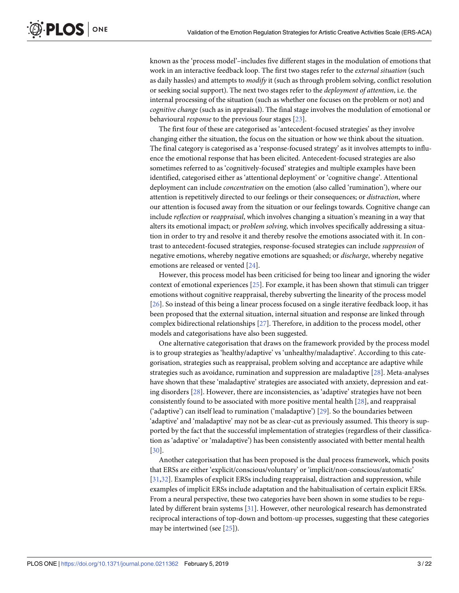<span id="page-2-0"></span>known as the 'process model'–includes five different stages in the modulation of emotions that work in an interactive feedback loop. The first two stages refer to the *external situation* (such as daily hassles) and attempts to *modify* it (such as through problem solving, conflict resolution or seeking social support). The next two stages refer to the *deployment of attention*, i.e. the internal processing of the situation (such as whether one focuses on the problem or not) and *cognitive change* (such as in appraisal). The final stage involves the modulation of emotional or behavioural *response* to the previous four stages [[23](#page-18-0)].

The first four of these are categorised as 'antecedent-focused strategies' as they involve changing either the situation, the focus on the situation or how we think about the situation. The final category is categorised as a 'response-focused strategy' as it involves attempts to influence the emotional response that has been elicited. Antecedent-focused strategies are also sometimes referred to as 'cognitively-focused' strategies and multiple examples have been identified, categorised either as 'attentional deployment' or 'cognitive change'. Attentional deployment can include *concentration* on the emotion (also called 'rumination'), where our attention is repetitively directed to our feelings or their consequences; or *distraction*, where our attention is focused away from the situation or our feelings towards. Cognitive change can include *reflection* or *reappraisal*, which involves changing a situation's meaning in a way that alters its emotional impact; or *problem solving*, which involves specifically addressing a situation in order to try and resolve it and thereby resolve the emotions associated with it. In contrast to antecedent-focused strategies, response-focused strategies can include *suppression* of negative emotions, whereby negative emotions are squashed; or *discharge*, whereby negative emotions are released or vented [[24](#page-18-0)].

However, this process model has been criticised for being too linear and ignoring the wider context of emotional experiences  $[25]$  $[25]$  $[25]$ . For example, it has been shown that stimuli can trigger emotions without cognitive reappraisal, thereby subverting the linearity of the process model [\[26\]](#page-18-0). So instead of this being a linear process focused on a single iterative feedback loop, it has been proposed that the external situation, internal situation and response are linked through complex bidirectional relationships [\[27\]](#page-19-0). Therefore, in addition to the process model, other models and categorisations have also been suggested.

One alternative categorisation that draws on the framework provided by the process model is to group strategies as 'healthy/adaptive' vs 'unhealthy/maladaptive'. According to this categorisation, strategies such as reappraisal, problem solving and acceptance are adaptive while strategies such as avoidance, rumination and suppression are maladaptive [[28\]](#page-19-0). Meta-analyses have shown that these 'maladaptive' strategies are associated with anxiety, depression and eating disorders [[28](#page-19-0)]. However, there are inconsistencies, as 'adaptive' strategies have not been consistently found to be associated with more positive mental health [[28](#page-19-0)], and reappraisal ('adaptive') can itself lead to rumination ('maladaptive') [[29\]](#page-19-0). So the boundaries between 'adaptive' and 'maladaptive' may not be as clear-cut as previously assumed. This theory is supported by the fact that the successful implementation of strategies (regardless of their classification as 'adaptive' or 'maladaptive') has been consistently associated with better mental health [\[30\]](#page-19-0).

Another categorisation that has been proposed is the dual process framework, which posits that ERSs are either 'explicit/conscious/voluntary' or 'implicit/non-conscious/automatic' [\[31,32\]](#page-19-0). Examples of explicit ERSs including reappraisal, distraction and suppression, while examples of implicit ERSs include adaptation and the habitualisation of certain explicit ERSs. From a neural perspective, these two categories have been shown in some studies to be regulated by different brain systems [[31](#page-19-0)]. However, other neurological research has demonstrated reciprocal interactions of top-down and bottom-up processes, suggesting that these categories may be intertwined (see [[25](#page-18-0)]).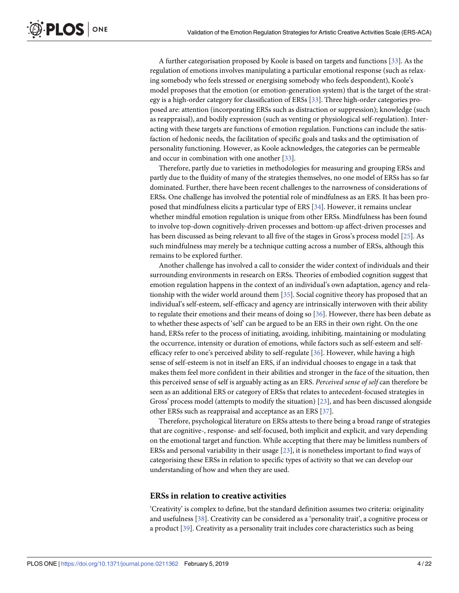<span id="page-3-0"></span>A further categorisation proposed by Koole is based on targets and functions [[33](#page-19-0)]. As the regulation of emotions involves manipulating a particular emotional response (such as relaxing somebody who feels stressed or energising somebody who feels despondent), Koole's model proposes that the emotion (or emotion-generation system) that is the target of the strategy is a high-order category for classification of ERSs [[33](#page-19-0)]. Three high-order categories proposed are: attention (incorporating ERSs such as distraction or suppression); knowledge (such as reappraisal), and bodily expression (such as venting or physiological self-regulation). Interacting with these targets are functions of emotion regulation. Functions can include the satisfaction of hedonic needs, the facilitation of specific goals and tasks and the optimisation of personality functioning. However, as Koole acknowledges, the categories can be permeable and occur in combination with one another [[33](#page-19-0)].

Therefore, partly due to varieties in methodologies for measuring and grouping ERSs and partly due to the fluidity of many of the strategies themselves, no one model of ERSs has so far dominated. Further, there have been recent challenges to the narrowness of considerations of ERSs. One challenge has involved the potential role of mindfulness as an ERS. It has been proposed that mindfulness elicits a particular type of ERS [\[34\]](#page-19-0). However, it remains unclear whether mindful emotion regulation is unique from other ERSs. Mindfulness has been found to involve top-down cognitively-driven processes and bottom-up affect-driven processes and has been discussed as being relevant to all five of the stages in Gross's process model [\[25\]](#page-18-0). As such mindfulness may merely be a technique cutting across a number of ERSs, although this remains to be explored further.

Another challenge has involved a call to consider the wider context of individuals and their surrounding environments in research on ERSs. Theories of embodied cognition suggest that emotion regulation happens in the context of an individual's own adaptation, agency and relationship with the wider world around them [[35](#page-19-0)]. Social cognitive theory has proposed that an individual's self-esteem, self-efficacy and agency are intrinsically interwoven with their ability to regulate their emotions and their means of doing so [\[36\]](#page-19-0). However, there has been debate as to whether these aspects of 'self' can be argued to be an ERS in their own right. On the one hand, ERSs refer to the process of initiating, avoiding, inhibiting, maintaining or modulating the occurrence, intensity or duration of emotions, while factors such as self-esteem and selfefficacy refer to one's perceived ability to self-regulate [\[36\]](#page-19-0). However, while having a high sense of self-esteem is not in itself an ERS, if an individual chooses to engage in a task that makes them feel more confident in their abilities and stronger in the face of the situation, then this perceived sense of self is arguably acting as an ERS. *Perceived sense of self* can therefore be seen as an additional ERS or category of ERSs that relates to antecedent-focused strategies in Gross' process model (attempts to modify the situation) [[23](#page-18-0)], and has been discussed alongside other ERSs such as reappraisal and acceptance as an ERS [\[37\]](#page-19-0).

Therefore, psychological literature on ERSs attests to there being a broad range of strategies that are cognitive-, response- and self-focused, both implicit and explicit, and vary depending on the emotional target and function. While accepting that there may be limitless numbers of ERSs and personal variability in their usage [\[23\]](#page-18-0), it is nonetheless important to find ways of categorising these ERSs in relation to specific types of activity so that we can develop our understanding of how and when they are used.

### **ERSs in relation to creative activities**

'Creativity' is complex to define, but the standard definition assumes two criteria: originality and usefulness [[38](#page-19-0)]. Creativity can be considered as a 'personality trait', a cognitive process or a product [[39](#page-19-0)]. Creativity as a personality trait includes core characteristics such as being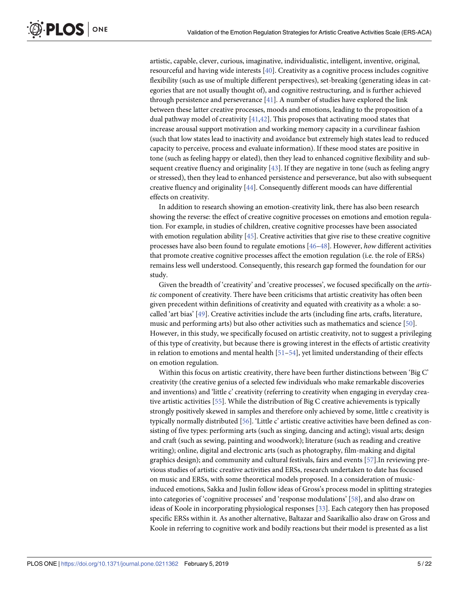<span id="page-4-0"></span>artistic, capable, clever, curious, imaginative, individualistic, intelligent, inventive, original, resourceful and having wide interests [[40](#page-19-0)]. Creativity as a cognitive process includes cognitive flexibility (such as use of multiple different perspectives), set-breaking (generating ideas in categories that are not usually thought of), and cognitive restructuring, and is further achieved through persistence and perseverance [[41](#page-19-0)]. A number of studies have explored the link between these latter creative processes, moods and emotions, leading to the proposition of a dual pathway model of creativity  $[41, 42]$ . This proposes that activating mood states that increase arousal support motivation and working memory capacity in a curvilinear fashion (such that low states lead to inactivity and avoidance but extremely high states lead to reduced capacity to perceive, process and evaluate information). If these mood states are positive in tone (such as feeling happy or elated), then they lead to enhanced cognitive flexibility and subsequent creative fluency and originality [[43](#page-19-0)]. If they are negative in tone (such as feeling angry or stressed), then they lead to enhanced persistence and perseverance, but also with subsequent creative fluency and originality [[44](#page-19-0)]. Consequently different moods can have differential effects on creativity.

In addition to research showing an emotion-creativity link, there has also been research showing the reverse: the effect of creative cognitive processes on emotions and emotion regulation. For example, in studies of children, creative cognitive processes have been associated with emotion regulation ability  $[45]$ . Creative activities that give rise to these creative cognitive processes have also been found to regulate emotions [[46–48\]](#page-19-0). However, *how* different activities that promote creative cognitive processes affect the emotion regulation (i.e. the role of ERSs) remains less well understood. Consequently, this research gap formed the foundation for our study.

Given the breadth of 'creativity' and 'creative processes', we focused specifically on the *artistic* component of creativity. There have been criticisms that artistic creativity has often been given precedent within definitions of creativity and equated with creativity as a whole: a socalled 'art bias' [\[49\]](#page-19-0). Creative activities include the arts (including fine arts, crafts, literature, music and performing arts) but also other activities such as mathematics and science [\[50\]](#page-20-0). However, in this study, we specifically focused on artistic creativity, not to suggest a privileging of this type of creativity, but because there is growing interest in the effects of artistic creativity in relation to emotions and mental health  $[51–54]$  $[51–54]$ , yet limited understanding of their effects on emotion regulation.

Within this focus on artistic creativity, there have been further distinctions between 'Big C' creativity (the creative genius of a selected few individuals who make remarkable discoveries and inventions) and 'little c' creativity (referring to creativity when engaging in everyday creative artistic activities [[55](#page-20-0)]. While the distribution of Big C creative achievements is typically strongly positively skewed in samples and therefore only achieved by some, little c creativity is typically normally distributed [\[56\]](#page-20-0). 'Little c' artistic creative activities have been defined as consisting of five types: performing arts (such as singing, dancing and acting); visual arts; design and craft (such as sewing, painting and woodwork); literature (such as reading and creative writing); online, digital and electronic arts (such as photography, film-making and digital graphics design); and community and cultural festivals, fairs and events [\[57\]](#page-20-0).In reviewing previous studies of artistic creative activities and ERSs, research undertaken to date has focused on music and ERSs, with some theoretical models proposed. In a consideration of musicinduced emotions, Sakka and Juslin follow ideas of Gross's process model in splitting strategies into categories of 'cognitive processes' and 'response modulations' [\[58\]](#page-20-0), and also draw on ideas of Koole in incorporating physiological responses [[33](#page-19-0)]. Each category then has proposed specific ERSs within it. As another alternative, Baltazar and Saarikallio also draw on Gross and Koole in referring to cognitive work and bodily reactions but their model is presented as a list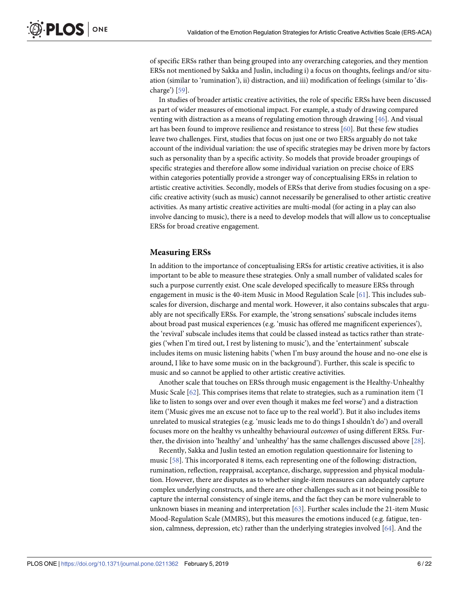<span id="page-5-0"></span>of specific ERSs rather than being grouped into any overarching categories, and they mention ERSs not mentioned by Sakka and Juslin, including i) a focus on thoughts, feelings and/or situation (similar to 'rumination'), ii) distraction, and iii) modification of feelings (similar to 'discharge') [[59](#page-20-0)].

In studies of broader artistic creative activities, the role of specific ERSs have been discussed as part of wider measures of emotional impact. For example, a study of drawing compared venting with distraction as a means of regulating emotion through drawing [\[46\]](#page-19-0). And visual art has been found to improve resilience and resistance to stress [\[60\]](#page-20-0). But these few studies leave two challenges. First, studies that focus on just one or two ERSs arguably do not take account of the individual variation: the use of specific strategies may be driven more by factors such as personality than by a specific activity. So models that provide broader groupings of specific strategies and therefore allow some individual variation on precise choice of ERS within categories potentially provide a stronger way of conceptualising ERSs in relation to artistic creative activities. Secondly, models of ERSs that derive from studies focusing on a specific creative activity (such as music) cannot necessarily be generalised to other artistic creative activities. As many artistic creative activities are multi-modal (for acting in a play can also involve dancing to music), there is a need to develop models that will allow us to conceptualise ERSs for broad creative engagement.

#### **Measuring ERSs**

In addition to the importance of conceptualising ERSs for artistic creative activities, it is also important to be able to measure these strategies. Only a small number of validated scales for such a purpose currently exist. One scale developed specifically to measure ERSs through engagement in music is the 40-item Music in Mood Regulation Scale [[61](#page-20-0)]. This includes subscales for diversion, discharge and mental work. However, it also contains subscales that arguably are not specifically ERSs. For example, the 'strong sensations' subscale includes items about broad past musical experiences (e.g. 'music has offered me magnificent experiences'), the 'revival' subscale includes items that could be classed instead as tactics rather than strategies ('when I'm tired out, I rest by listening to music'), and the 'entertainment' subscale includes items on music listening habits ('when I'm busy around the house and no-one else is around, I like to have some music on in the background'). Further, this scale is specific to music and so cannot be applied to other artistic creative activities.

Another scale that touches on ERSs through music engagement is the Healthy-Unhealthy Music Scale [[62](#page-20-0)]. This comprises items that relate to strategies, such as a rumination item ('I like to listen to songs over and over even though it makes me feel worse') and a distraction item ('Music gives me an excuse not to face up to the real world'). But it also includes items unrelated to musical strategies (e.g. 'music leads me to do things I shouldn't do') and overall focuses more on the healthy vs unhealthy behavioural *outcomes* of using different ERSs. Further, the division into 'healthy' and 'unhealthy' has the same challenges discussed above [\[28\]](#page-19-0).

Recently, Sakka and Juslin tested an emotion regulation questionnaire for listening to music [[58](#page-20-0)]. This incorporated 8 items, each representing one of the following: distraction, rumination, reflection, reappraisal, acceptance, discharge, suppression and physical modulation. However, there are disputes as to whether single-item measures can adequately capture complex underlying constructs, and there are other challenges such as it not being possible to capture the internal consistency of single items, and the fact they can be more vulnerable to unknown biases in meaning and interpretation [[63](#page-20-0)]. Further scales include the 21-item Music Mood-Regulation Scale (MMRS), but this measures the emotions induced (e.g. fatigue, tension, calmness, depression, etc) rather than the underlying strategies involved [\[64\]](#page-20-0). And the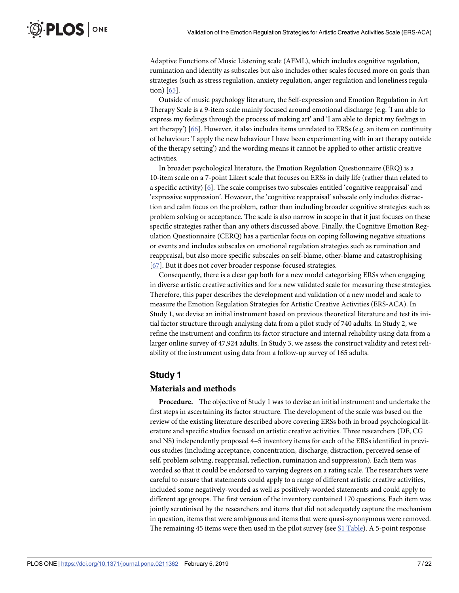<span id="page-6-0"></span>Adaptive Functions of Music Listening scale (AFML), which includes cognitive regulation, rumination and identity as subscales but also includes other scales focused more on goals than strategies (such as stress regulation, anxiety regulation, anger regulation and loneliness regulation) [\[65\]](#page-20-0).

Outside of music psychology literature, the Self-expression and Emotion Regulation in Art Therapy Scale is a 9-item scale mainly focused around emotional discharge (e.g. 'I am able to express my feelings through the process of making art' and 'I am able to depict my feelings in art therapy') [[66](#page-20-0)]. However, it also includes items unrelated to ERSs (e.g. an item on continuity of behaviour: 'I apply the new behaviour I have been experimenting with in art therapy outside of the therapy setting') and the wording means it cannot be applied to other artistic creative activities.

In broader psychological literature, the Emotion Regulation Questionnaire (ERQ) is a 10-item scale on a 7-point Likert scale that focuses on ERSs in daily life (rather than related to a specific activity) [\[6](#page-18-0)]. The scale comprises two subscales entitled 'cognitive reappraisal' and 'expressive suppression'. However, the 'cognitive reappraisal' subscale only includes distraction and calm focus on the problem, rather than including broader cognitive strategies such as problem solving or acceptance. The scale is also narrow in scope in that it just focuses on these specific strategies rather than any others discussed above. Finally, the Cognitive Emotion Regulation Questionnaire (CERQ) has a particular focus on coping following negative situations or events and includes subscales on emotional regulation strategies such as rumination and reappraisal, but also more specific subscales on self-blame, other-blame and catastrophising [\[67\]](#page-20-0). But it does not cover broader response-focused strategies.

Consequently, there is a clear gap both for a new model categorising ERSs when engaging in diverse artistic creative activities and for a new validated scale for measuring these strategies. Therefore, this paper describes the development and validation of a new model and scale to measure the Emotion Regulation Strategies for Artistic Creative Activities (ERS-ACA). In Study 1, we devise an initial instrument based on previous theoretical literature and test its initial factor structure through analysing data from a pilot study of 740 adults. In Study 2, we refine the instrument and confirm its factor structure and internal reliability using data from a larger online survey of 47,924 adults. In Study 3, we assess the construct validity and retest reliability of the instrument using data from a follow-up survey of 165 adults.

## **Study 1**

## **Materials and methods**

**Procedure.** The objective of Study 1 was to devise an initial instrument and undertake the first steps in ascertaining its factor structure. The development of the scale was based on the review of the existing literature described above covering ERSs both in broad psychological literature and specific studies focused on artistic creative activities. Three researchers (DF, CG and NS) independently proposed 4–5 inventory items for each of the ERSs identified in previous studies (including acceptance, concentration, discharge, distraction, perceived sense of self, problem solving, reappraisal, reflection, rumination and suppression). Each item was worded so that it could be endorsed to varying degrees on a rating scale. The researchers were careful to ensure that statements could apply to a range of different artistic creative activities, included some negatively-worded as well as positively-worded statements and could apply to different age groups. The first version of the inventory contained 170 questions. Each item was jointly scrutinised by the researchers and items that did not adequately capture the mechanism in question, items that were ambiguous and items that were quasi-synonymous were removed. The remaining 45 items were then used in the pilot survey (see S1 [Table](#page-17-0)). A 5-point response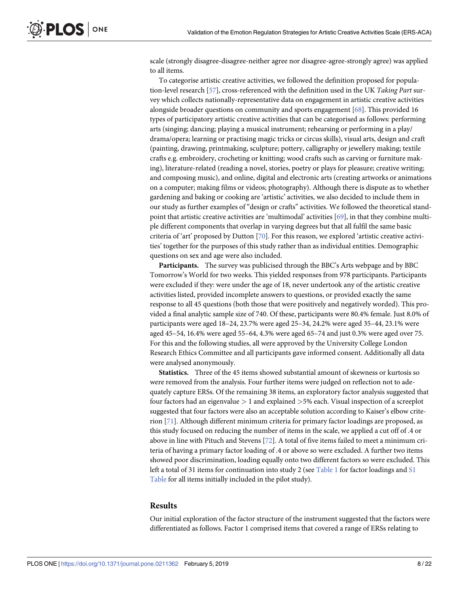<span id="page-7-0"></span>scale (strongly disagree-disagree-neither agree nor disagree-agree-strongly agree) was applied to all items.

To categorise artistic creative activities, we followed the definition proposed for population-level research [[57](#page-20-0)], cross-referenced with the definition used in the UK *Taking Part* survey which collects nationally-representative data on engagement in artistic creative activities alongside broader questions on community and sports engagement [\[68\]](#page-20-0). This provided 16 types of participatory artistic creative activities that can be categorised as follows: performing arts (singing; dancing; playing a musical instrument; rehearsing or performing in a play/ drama/opera; learning or practising magic tricks or circus skills), visual arts, design and craft (painting, drawing, printmaking, sculpture; pottery, calligraphy or jewellery making; textile crafts e.g. embroidery, crocheting or knitting; wood crafts such as carving or furniture making), literature-related (reading a novel, stories, poetry or plays for pleasure; creative writing; and composing music), and online, digital and electronic arts (creating artworks or animations on a computer; making films or videos; photography). Although there is dispute as to whether gardening and baking or cooking are 'artistic' activities, we also decided to include them in our study as further examples of "design or crafts" activities. We followed the theoretical standpoint that artistic creative activities are 'multimodal' activities [\[69\]](#page-20-0), in that they combine multiple different components that overlap in varying degrees but that all fulfil the same basic criteria of 'art' proposed by Dutton [[70](#page-20-0)]. For this reason, we explored 'artistic creative activities' together for the purposes of this study rather than as individual entities. Demographic questions on sex and age were also included.

**Participants.** The survey was publicised through the BBC's Arts webpage and by BBC Tomorrow's World for two weeks. This yielded responses from 978 participants. Participants were excluded if they: were under the age of 18, never undertook any of the artistic creative activities listed, provided incomplete answers to questions, or provided exactly the same response to all 45 questions (both those that were positively and negatively worded). This provided a final analytic sample size of 740. Of these, participants were 80.4% female. Just 8.0% of participants were aged 18–24, 23.7% were aged 25–34, 24.2% were aged 35–44, 23.1% were aged 45–54, 16.4% were aged 55–64, 4.3% were aged 65–74 and just 0.3% were aged over 75. For this and the following studies, all were approved by the University College London Research Ethics Committee and all participants gave informed consent. Additionally all data were analysed anonymously.

**Statistics.** Three of the 45 items showed substantial amount of skewness or kurtosis so were removed from the analysis. Four further items were judged on reflection not to adequately capture ERSs. Of the remaining 38 items, an exploratory factor analysis suggested that four factors had an eigenvalue *>* 1 and explained *>*5% each. Visual inspection of a screeplot suggested that four factors were also an acceptable solution according to Kaiser's elbow criterion [[71](#page-21-0)]. Although different minimum criteria for primary factor loadings are proposed, as this study focused on reducing the number of items in the scale, we applied a cut off of .4 or above in line with Pituch and Stevens [[72](#page-21-0)]. A total of five items failed to meet a minimum criteria of having a primary factor loading of .4 or above so were excluded. A further two items showed poor discrimination, loading equally onto two different factors so were excluded. This left a total of 31 items for continuation into study 2 (see [Table](#page-8-0) 1 for factor loadings and [S1](#page-17-0) [Table](#page-17-0) for all items initially included in the pilot study).

### **Results**

Our initial exploration of the factor structure of the instrument suggested that the factors were differentiated as follows. Factor 1 comprised items that covered a range of ERSs relating to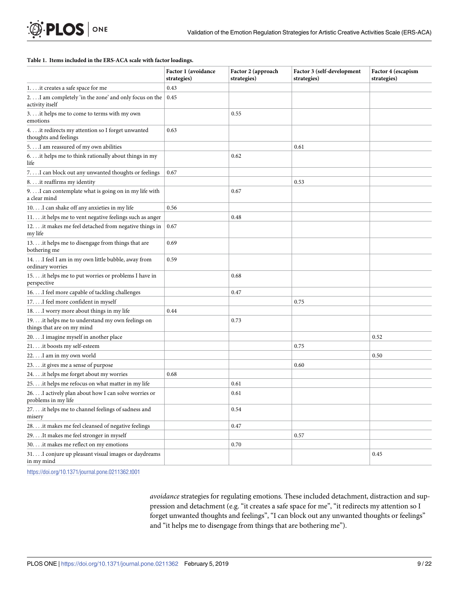#### <span id="page-8-0"></span>**[Table](#page-7-0) 1. Items included in the ERS-ACA scale with factor loadings.**

|                                                                                | Factor 1 (avoidance<br>strategies) | Factor 2 (approach<br>strategies) | Factor 3 (self-development<br>strategies) | Factor 4 (escapism<br>strategies) |
|--------------------------------------------------------------------------------|------------------------------------|-----------------------------------|-------------------------------------------|-----------------------------------|
| 1. it creates a safe space for me                                              | 0.43                               |                                   |                                           |                                   |
| 2. I am completely 'in the zone' and only focus on the<br>activity itself      | 0.45                               |                                   |                                           |                                   |
| 3. it helps me to come to terms with my own<br>emotions                        |                                    | 0.55                              |                                           |                                   |
| 4. it redirects my attention so I forget unwanted<br>thoughts and feelings     | 0.63                               |                                   |                                           |                                   |
| 5. I am reassured of my own abilities                                          |                                    |                                   | 0.61                                      |                                   |
| 6 .it helps me to think rationally about things in my<br>life                  |                                    | 0.62                              |                                           |                                   |
| 7. I can block out any unwanted thoughts or feelings                           | 0.67                               |                                   |                                           |                                   |
| 8. it reaffirms my identity                                                    |                                    |                                   | 0.53                                      |                                   |
| 9. I can contemplate what is going on in my life with<br>a clear mind          |                                    | 0.67                              |                                           |                                   |
| 10. I can shake off any anxieties in my life                                   | 0.56                               |                                   |                                           |                                   |
| 11. it helps me to vent negative feelings such as anger                        |                                    | 0.48                              |                                           |                                   |
| 12. it makes me feel detached from negative things in<br>my life               | 0.67                               |                                   |                                           |                                   |
| 13. it helps me to disengage from things that are<br>bothering me              | 0.69                               |                                   |                                           |                                   |
| 14. I feel I am in my own little bubble, away from<br>ordinary worries         | 0.59                               |                                   |                                           |                                   |
| 15. it helps me to put worries or problems I have in<br>perspective            |                                    | 0.68                              |                                           |                                   |
| 16. I feel more capable of tackling challenges                                 |                                    | 0.47                              |                                           |                                   |
| 17. I feel more confident in myself                                            |                                    |                                   | 0.75                                      |                                   |
| 18. I worry more about things in my life                                       | 0.44                               |                                   |                                           |                                   |
| 19. it helps me to understand my own feelings on<br>things that are on my mind |                                    | 0.73                              |                                           |                                   |
| 20. I imagine myself in another place                                          |                                    |                                   |                                           | 0.52                              |
| 21. it boosts my self-esteem                                                   |                                    |                                   | 0.75                                      |                                   |
| 22. I am in my own world                                                       |                                    |                                   |                                           | 0.50                              |
| 23. it gives me a sense of purpose                                             |                                    |                                   | 0.60                                      |                                   |
| 24. it helps me forget about my worries                                        | 0.68                               |                                   |                                           |                                   |
| 25. it helps me refocus on what matter in my life                              |                                    | 0.61                              |                                           |                                   |
| 26. I actively plan about how I can solve worries or<br>problems in my life    |                                    | 0.61                              |                                           |                                   |
| 27. it helps me to channel feelings of sadness and<br>misery                   |                                    | 0.54                              |                                           |                                   |
| 28. it makes me feel cleansed of negative feelings                             |                                    | $0.47\,$                          |                                           |                                   |
| 29. It makes me feel stronger in myself                                        |                                    |                                   | 0.57                                      |                                   |
| $30. \ldots$ .<br>it makes me reflect on my emotions                           |                                    | 0.70                              |                                           |                                   |
| 31. I conjure up pleasant visual images or daydreams<br>in my mind             |                                    |                                   |                                           | 0.45                              |

<https://doi.org/10.1371/journal.pone.0211362.t001>

*avoidance* strategies for regulating emotions. These included detachment, distraction and suppression and detachment (e.g. "it creates a safe space for me", "it redirects my attention so I forget unwanted thoughts and feelings", "I can block out any unwanted thoughts or feelings" and "it helps me to disengage from things that are bothering me").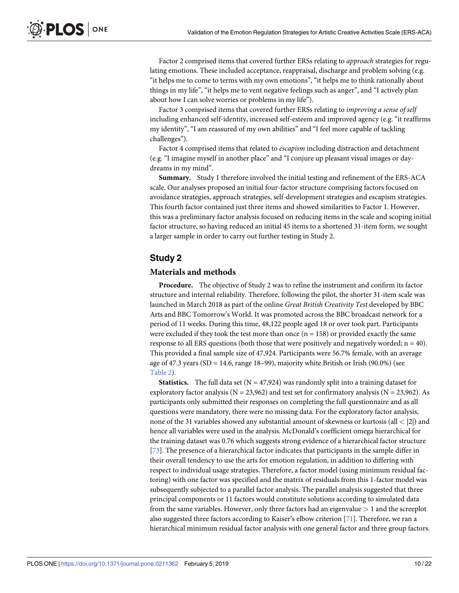<span id="page-9-0"></span>Factor 2 comprised items that covered further ERSs relating to *approach* strategies for regulating emotions. These included acceptance, reappraisal, discharge and problem solving (e.g. "it helps me to come to terms with my own emotions", "it helps me to think rationally about things in my life", "it helps me to vent negative feelings such as anger", and "I actively plan about how I can solve worries or problems in my life").

Factor 3 comprised items that covered further ERSs relating to *improving a sense of self* including enhanced self-identity, increased self-esteem and improved agency (e.g. "it reaffirms my identity", "I am reassured of my own abilities" and "I feel more capable of tackling challenges").

Factor 4 comprised items that related to *escapism* including distraction and detachment (e.g. "I imagine myself in another place" and "I conjure up pleasant visual images or daydreams in my mind".

**Summary.** Study 1 therefore involved the initial testing and refinement of the ERS-ACA scale. Our analyses proposed an initial four-factor structure comprising factors focused on avoidance strategies, approach strategies, self-development strategies and escapism strategies. This fourth factor contained just three items and showed similarities to Factor 1. However, this was a preliminary factor analysis focused on reducing items in the scale and scoping initial factor structure, so having reduced an initial 45 items to a shortened 31-item form, we sought a larger sample in order to carry out further testing in Study 2.

## **Study 2**

## **Materials and methods**

**Procedure.** The objective of Study 2 was to refine the instrument and confirm its factor structure and internal reliability. Therefore, following the pilot, the shorter 31-item scale was launched in March 2018 as part of the online *Great British Creativity Test* developed by BBC Arts and BBC Tomorrow's World. It was promoted across the BBC broadcast network for a period of 11 weeks. During this time, 48,122 people aged 18 or over took part. Participants were excluded if they took the test more than once  $(n = 158)$  or provided exactly the same response to all ERS questions (both those that were positively and negatively worded;  $n = 40$ ). This provided a final sample size of 47,924. Participants were 56.7% female, with an average age of 47.3 years (SD = 14.6, range 18–99), majority white British or Irish (90.0%) (see [Table](#page-10-0) 2).

**Statistics.** The full data set  $(N = 47,924)$  was randomly split into a training dataset for exploratory factor analysis ( $N = 23,962$ ) and test set for confirmatory analysis ( $N = 23,962$ ). As participants only submitted their responses on completing the full questionnaire and as all questions were mandatory, there were no missing data. For the exploratory factor analysis, none of the 31 variables showed any substantial amount of skewness or kurtosis (all *<* |2|) and hence all variables were used in the analysis. McDonald's coefficient omega hierarchical for the training dataset was 0.76 which suggests strong evidence of a hierarchical factor structure [\[73\]](#page-21-0). The presence of a hierarchical factor indicates that participants in the sample differ in their overall tendency to use the arts for emotion regulation, in addition to differing with respect to individual usage strategies. Therefore, a factor model (using minimum residual factoring) with one factor was specified and the matrix of residuals from this 1-factor model was subsequently subjected to a parallel factor analysis. The parallel analysis suggested that three principal components or 11 factors would constitute solutions according to simulated data from the same variables. However, only three factors had an eigenvalue *>* 1 and the screeplot also suggested three factors according to Kaiser's elbow criterion [[71](#page-21-0)]. Therefore, we ran a hierarchical minimum residual factor analysis with one general factor and three group factors.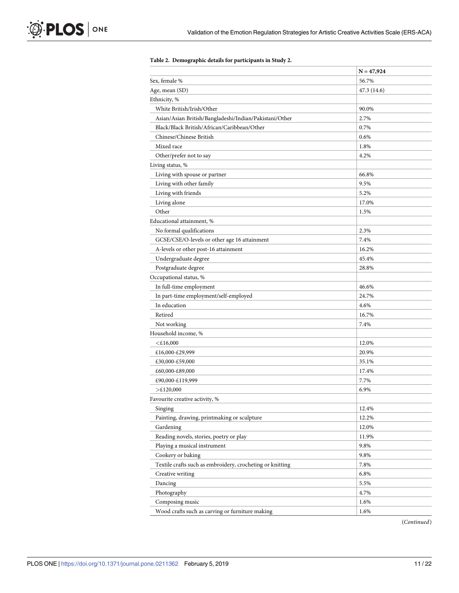<span id="page-10-0"></span>

|                                                           | $N = 47,924$ |
|-----------------------------------------------------------|--------------|
| Sex, female %                                             | 56.7%        |
| Age, mean (SD)                                            | 47.3 (14.6)  |
| Ethnicity, %                                              |              |
| White British/Irish/Other                                 | 90.0%        |
| Asian/Asian British/Bangladeshi/Indian/Pakistani/Other    | 2.7%         |
| Black/Black British/African/Caribbean/Other               | 0.7%         |
| Chinese/Chinese British                                   | 0.6%         |
| Mixed race                                                | 1.8%         |
| Other/prefer not to say                                   | 4.2%         |
| Living status, %                                          |              |
| Living with spouse or partner                             | 66.8%        |
| Living with other family                                  | 9.5%         |
| Living with friends                                       | 5.2%         |
| Living alone                                              | 17.0%        |
| Other                                                     | 1.5%         |
| Educational attainment, %                                 |              |
| No formal qualifications                                  | 2.3%         |
| GCSE/CSE/O-levels or other age 16 attainment              | 7.4%         |
| A-levels or other post-16 attainment                      | 16.2%        |
| Undergraduate degree                                      | 45.4%        |
| Postgraduate degree                                       | 28.8%        |
| Occupational status, %                                    |              |
| In full-time employment                                   | 46.6%        |
| In part-time employment/self-employed                     | 24.7%        |
| In education                                              | 4.6%         |
| Retired                                                   | 16.7%        |
| Not working                                               | 7.4%         |
| Household income, %                                       |              |
| $<$ £16,000                                               | 12.0%        |
| £16,000-£29,999                                           | 20.9%        |
| £30,000-£59,000                                           | 35.1%        |
| £60,000-£89,000                                           | 17.4%        |
| £90,000-£119,999                                          | 7.7%         |
| >£120,000                                                 | 6.9%         |
| Favourite creative activity, %                            |              |
| Singing                                                   | 12.4%        |
| Painting, drawing, printmaking or sculpture               | 12.2%        |
| Gardening                                                 | 12.0%        |
| Reading novels, stories, poetry or play                   | 11.9%        |
| Playing a musical instrument                              | 9.8%         |
| Cookery or baking                                         | 9.8%         |
| Textile crafts such as embroidery, crocheting or knitting | 7.8%         |
| Creative writing                                          | $6.8\%$      |
| Dancing                                                   | $5.5\%$      |
| Photography                                               | 4.7%         |
| Composing music                                           | 1.6%         |
|                                                           |              |

#### **[Table](#page-9-0) 2. Demographic details for participants in Study 2.**

(*Continued*)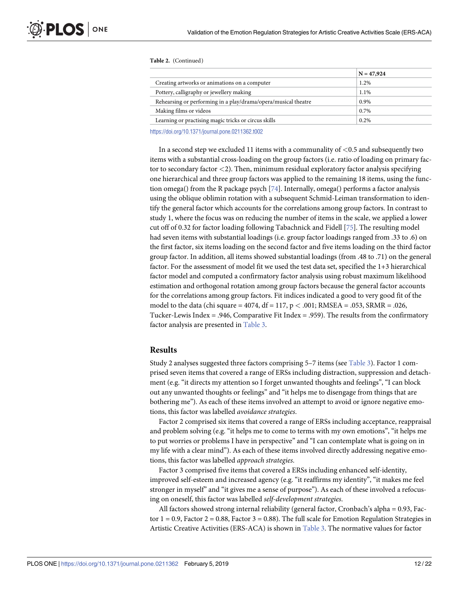#### <span id="page-11-0"></span>**Table 2.** (Continued)

|                                                                | $N = 47,924$ |
|----------------------------------------------------------------|--------------|
| Creating artworks or animations on a computer                  | 1.2%         |
| Pottery, calligraphy or jewellery making                       | 1.1%         |
| Rehearsing or performing in a play/drama/opera/musical theatre | $0.9\%$      |
| Making films or videos                                         | 0.7%         |
| Learning or practising magic tricks or circus skills           | $0.2\%$      |
|                                                                |              |

<https://doi.org/10.1371/journal.pone.0211362.t002>

In a second step we excluded 11 items with a communality of *<*0.5 and subsequently two items with a substantial cross-loading on the group factors (i.e. ratio of loading on primary factor to secondary factor *<*2). Then, minimum residual exploratory factor analysis specifying one hierarchical and three group factors was applied to the remaining 18 items, using the function omega() from the R package psych [[74](#page-21-0)]. Internally, omega() performs a factor analysis using the oblique oblimin rotation with a subsequent Schmid-Leiman transformation to identify the general factor which accounts for the correlations among group factors. In contrast to study 1, where the focus was on reducing the number of items in the scale, we applied a lower cut off of 0.32 for factor loading following Tabachnick and Fidell [\[75\]](#page-21-0). The resulting model had seven items with substantial loadings (i.e. group factor loadings ranged from .33 to .6) on the first factor, six items loading on the second factor and five items loading on the third factor group factor. In addition, all items showed substantial loadings (from .48 to .71) on the general factor. For the assessment of model fit we used the test data set, specified the 1+3 hierarchical factor model and computed a confirmatory factor analysis using robust maximum likelihood estimation and orthogonal rotation among group factors because the general factor accounts for the correlations among group factors. Fit indices indicated a good to very good fit of the model to the data (chi square = 4074, df = 117, p *<* .001; RMSEA = .053, SRMR = .026, Tucker-Lewis Index = .946, Comparative Fit Index = .959). The results from the confirmatory factor analysis are presented in [Table](#page-12-0) 3.

### **Results**

Study 2 analyses suggested three factors comprising 5–7 items (see [Table](#page-12-0) 3). Factor 1 comprised seven items that covered a range of ERSs including distraction, suppression and detachment (e.g. "it directs my attention so I forget unwanted thoughts and feelings", "I can block out any unwanted thoughts or feelings" and "it helps me to disengage from things that are bothering me"). As each of these items involved an attempt to avoid or ignore negative emotions, this factor was labelled *avoidance strategies*.

Factor 2 comprised six items that covered a range of ERSs including acceptance, reappraisal and problem solving (e.g. "it helps me to come to terms with my own emotions", "it helps me to put worries or problems I have in perspective" and "I can contemplate what is going on in my life with a clear mind"). As each of these items involved directly addressing negative emotions, this factor was labelled *approach strategies*.

Factor 3 comprised five items that covered a ERSs including enhanced self-identity, improved self-esteem and increased agency (e.g. "it reaffirms my identity", "it makes me feel stronger in myself" and "it gives me a sense of purpose"). As each of these involved a refocusing on oneself, this factor was labelled *self-development strategies*.

All factors showed strong internal reliability (general factor, Cronbach's alpha = 0.93, Factor  $1 = 0.9$ , Factor  $2 = 0.88$ , Factor  $3 = 0.88$ ). The full scale for Emotion Regulation Strategies in Artistic Creative Activities (ERS-ACA) is shown in [Table](#page-12-0) 3. The normative values for factor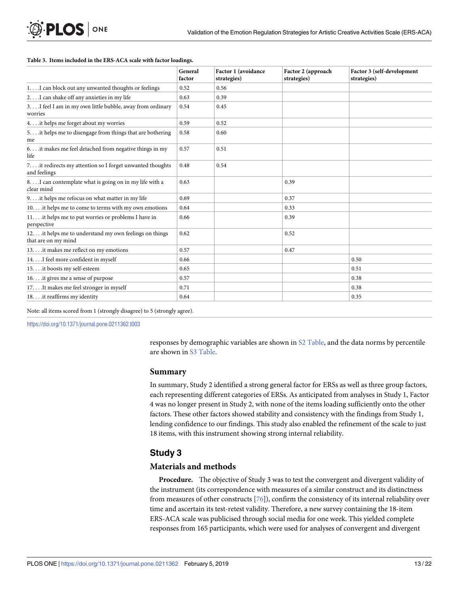|                                                                                | General<br>factor | Factor 1 (avoidance<br>strategies) | Factor 2 (approach<br>strategies) | Factor 3 (self-development<br>strategies) |
|--------------------------------------------------------------------------------|-------------------|------------------------------------|-----------------------------------|-------------------------------------------|
| 1. I can block out any unwanted thoughts or feelings                           | 0.52              | 0.56                               |                                   |                                           |
| 2. I can shake off any anxieties in my life                                    | 0.63              | 0.39                               |                                   |                                           |
| 3. I feel I am in my own little bubble, away from ordinary<br>worries          | 0.54              | 0.45                               |                                   |                                           |
| 4. it helps me forget about my worries                                         | 0.59              | 0.52                               |                                   |                                           |
| 5 .it helps me to disengage from things that are bothering<br>me               | 0.58              | 0.60                               |                                   |                                           |
| 6 it makes me feel detached from negative things in my<br>life                 | 0.57              | 0.51                               |                                   |                                           |
| 7. it redirects my attention so I forget unwanted thoughts<br>and feelings     | 0.48              | 0.54                               |                                   |                                           |
| 8. I can contemplate what is going on in my life with a<br>clear mind          | 0.63              |                                    | 0.39                              |                                           |
| 9. it helps me refocus on what matter in my life                               | 0.69              |                                    | 0.37                              |                                           |
| 10. it helps me to come to terms with my own emotions                          | 0.64              |                                    | 0.33                              |                                           |
| 11. it helps me to put worries or problems I have in<br>perspective            | 0.66              |                                    | 0.39                              |                                           |
| 12. it helps me to understand my own feelings on things<br>that are on my mind | 0.62              |                                    | 0.52                              |                                           |
| 13. it makes me reflect on my emotions                                         | 0.57              |                                    | 0.47                              |                                           |
| 14. I feel more confident in myself                                            | 0.66              |                                    |                                   | 0.50                                      |
| 15. it boosts my self-esteem                                                   | 0.65              |                                    |                                   | 0.51                                      |
| 16. it gives me a sense of purpose                                             | 0.57              |                                    |                                   | 0.38                                      |
| 17. It makes me feel stronger in myself                                        | 0.71              |                                    |                                   | 0.38                                      |
| 18. it reaffirms my identity                                                   | 0.64              |                                    |                                   | 0.35                                      |

#### <span id="page-12-0"></span>**[Table](#page-11-0) 3. Items included in the ERS-ACA scale with factor loadings.**

Note: all items scored from 1 (strongly disagree) to 5 (strongly agree).

<https://doi.org/10.1371/journal.pone.0211362.t003>

responses by demographic variables are shown in S2 [Table](#page-17-0), and the data norms by percentile are shown in S3 [Table](#page-17-0).

#### **Summary**

In summary, Study 2 identified a strong general factor for ERSs as well as three group factors, each representing different categories of ERSs. As anticipated from analyses in Study 1, Factor 4 was no longer present in Study 2, with none of the items loading sufficiently onto the other factors. These other factors showed stability and consistency with the findings from Study 1, lending confidence to our findings. This study also enabled the refinement of the scale to just 18 items, with this instrument showing strong internal reliability.

## **Study 3**

#### **Materials and methods**

**Procedure.** The objective of Study 3 was to test the convergent and divergent validity of the instrument (its correspondence with measures of a similar construct and its distinctness from measures of other constructs [[76](#page-21-0)]), confirm the consistency of its internal reliability over time and ascertain its test-retest validity. Therefore, a new survey containing the 18-item ERS-ACA scale was publicised through social media for one week. This yielded complete responses from 165 participants, which were used for analyses of convergent and divergent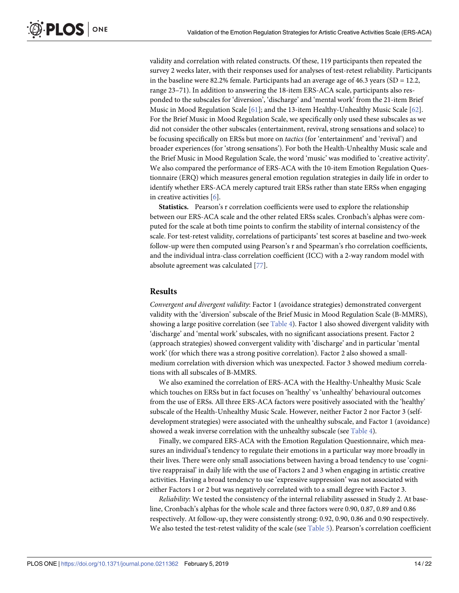<span id="page-13-0"></span>validity and correlation with related constructs. Of these, 119 participants then repeated the survey 2 weeks later, with their responses used for analyses of test-retest reliability. Participants in the baseline were 82.2% female. Participants had an average age of 46.3 years ( $SD = 12.2$ , range 23–71). In addition to answering the 18-item ERS-ACA scale, participants also responded to the subscales for 'diversion', 'discharge' and 'mental work' from the 21-item Brief Music in Mood Regulation Scale [\[61\]](#page-20-0); and the 13-item Healthy-Unhealthy Music Scale [\[62\]](#page-20-0). For the Brief Music in Mood Regulation Scale, we specifically only used these subscales as we did not consider the other subscales (entertainment, revival, strong sensations and solace) to be focusing specifically on ERSs but more on *tactics* (for 'entertainment' and 'revival') and broader experiences (for 'strong sensations'). For both the Health-Unhealthy Music scale and the Brief Music in Mood Regulation Scale, the word 'music' was modified to 'creative activity'. We also compared the performance of ERS-ACA with the 10-item Emotion Regulation Questionnaire (ERQ) which measures general emotion regulation strategies in daily life in order to identify whether ERS-ACA merely captured trait ERSs rather than state ERSs when engaging in creative activities [\[6\]](#page-18-0).

**Statistics.** Pearson's r correlation coefficients were used to explore the relationship between our ERS-ACA scale and the other related ERSs scales. Cronbach's alphas were computed for the scale at both time points to confirm the stability of internal consistency of the scale. For test-retest validity, correlations of participants' test scores at baseline and two-week follow-up were then computed using Pearson's r and Spearman's rho correlation coefficients, and the individual intra-class correlation coefficient (ICC) with a 2-way random model with absolute agreement was calculated [[77](#page-21-0)].

#### **Results**

*Convergent and divergent validity*: Factor 1 (avoidance strategies) demonstrated convergent validity with the 'diversion' subscale of the Brief Music in Mood Regulation Scale (B-MMRS), showing a large positive correlation (see [Table](#page-14-0) 4). Factor 1 also showed divergent validity with 'discharge' and 'mental work' subscales, with no significant associations present. Factor 2 (approach strategies) showed convergent validity with 'discharge' and in particular 'mental work' (for which there was a strong positive correlation). Factor 2 also showed a smallmedium correlation with diversion which was unexpected. Factor 3 showed medium correlations with all subscales of B-MMRS.

We also examined the correlation of ERS-ACA with the Healthy-Unhealthy Music Scale which touches on ERSs but in fact focuses on 'healthy' vs 'unhealthy' behavioural outcomes from the use of ERSs. All three ERS-ACA factors were positively associated with the 'healthy' subscale of the Health-Unhealthy Music Scale. However, neither Factor 2 nor Factor 3 (selfdevelopment strategies) were associated with the unhealthy subscale, and Factor 1 (avoidance) showed a weak inverse correlation with the unhealthy subscale (see [Table](#page-14-0) 4).

Finally, we compared ERS-ACA with the Emotion Regulation Questionnaire, which measures an individual's tendency to regulate their emotions in a particular way more broadly in their lives. There were only small associations between having a broad tendency to use 'cognitive reappraisal' in daily life with the use of Factors 2 and 3 when engaging in artistic creative activities. Having a broad tendency to use 'expressive suppression' was not associated with either Factors 1 or 2 but was negatively correlated with to a small degree with Factor 3.

*Reliability*: We tested the consistency of the internal reliability assessed in Study 2. At baseline, Cronbach's alphas for the whole scale and three factors were 0.90, 0.87, 0.89 and 0.86 respectively. At follow-up, they were consistently strong: 0.92, 0.90, 0.86 and 0.90 respectively. We also tested the test-retest validity of the scale (see [Table](#page-14-0) 5). Pearson's correlation coefficient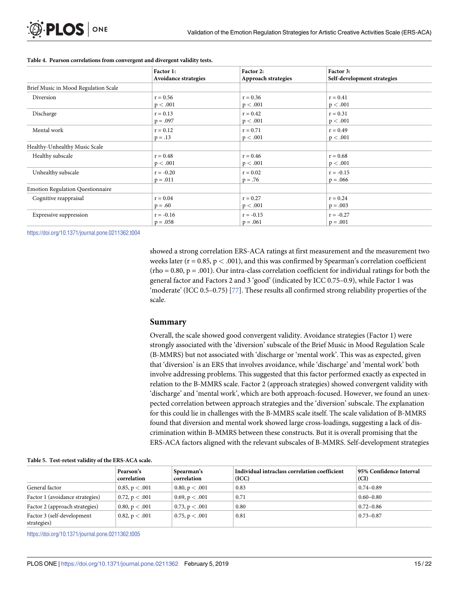|                                         | Factor 1:            | Factor 2:           | Factor 3:                   |
|-----------------------------------------|----------------------|---------------------|-----------------------------|
|                                         | Avoidance strategies | Approach strategies | Self-development strategies |
| Brief Music in Mood Regulation Scale    |                      |                     |                             |
| Diversion                               | $r = 0.56$           | $r = 0.36$          | $r = 0.41$                  |
|                                         | p < .001             | p < .001            | p < .001                    |
| Discharge                               | $r = 0.13$           | $r = 0.42$          | $r = 0.31$                  |
|                                         | $p = .097$           | p < .001            | p < .001                    |
| Mental work                             | $r = 0.12$           | $r = 0.71$          | $r = 0.49$                  |
|                                         | $p = .13$            | p < .001            | p < .001                    |
| Healthy-Unhealthy Music Scale           |                      |                     |                             |
| Healthy subscale                        | $r = 0.48$           | $r = 0.46$          | $r = 0.68$                  |
|                                         | p < .001             | p < .001            | p < .001                    |
| Unhealthy subscale                      | $r = -0.20$          | $r = 0.02$          | $r = -0.15$                 |
|                                         | $p = .011$           | $p = .76$           | $p = .066$                  |
| <b>Emotion Regulation Questionnaire</b> |                      |                     |                             |
| Cognitive reappraisal                   | $r = 0.04$           | $r = 0.27$          | $r = 0.24$                  |
|                                         | $p = .60$            | p < .001            | $p = .003$                  |
| Expressive suppression                  | $r = -0.16$          | $r = -0.15$         | $r = -0.27$                 |
|                                         | $p = .058$           | $p = .061$          | $p = .001$                  |

#### <span id="page-14-0"></span>**[Table](#page-13-0) 4. Pearson correlations from convergent and divergent validity tests.**

<https://doi.org/10.1371/journal.pone.0211362.t004>

showed a strong correlation ERS-ACA ratings at first measurement and the measurement two weeks later (r = 0.85, p *<* .001), and this was confirmed by Spearman's correlation coefficient  $(rho = 0.80, p = .001)$ . Our intra-class correlation coefficient for individual ratings for both the general factor and Factors 2 and 3 'good' (indicated by ICC 0.75–0.9), while Factor 1 was 'moderate' (ICC 0.5–0.75) [\[77\]](#page-21-0). These results all confirmed strong reliability properties of the scale.

#### **Summary**

Overall, the scale showed good convergent validity. Avoidance strategies (Factor 1) were strongly associated with the 'diversion' subscale of the Brief Music in Mood Regulation Scale (B-MMRS) but not associated with 'discharge or 'mental work'. This was as expected, given that 'diversion' is an ERS that involves avoidance, while 'discharge' and 'mental work' both involve addressing problems. This suggested that this factor performed exactly as expected in relation to the B-MMRS scale. Factor 2 (approach strategies) showed convergent validity with 'discharge' and 'mental work', which are both approach-focused. However, we found an unexpected correlation between approach strategies and the 'diversion' subscale. The explanation for this could lie in challenges with the B-MMRS scale itself. The scale validation of B-MMRS found that diversion and mental work showed large cross-loadings, suggesting a lack of discrimination within B-MMRS between these constructs. But it is overall promising that the ERS-ACA factors aligned with the relevant subscales of B-MMRS. Self-development strategies

| Tuble 31 Test Telest (allah) of the Little Heat search |                          |                           |                                                        |                                 |  |
|--------------------------------------------------------|--------------------------|---------------------------|--------------------------------------------------------|---------------------------------|--|
|                                                        | Pearson's<br>correlation | Spearman's<br>correlation | Individual intraclass correlation coefficient<br>(ICC) | 95% Confidence Interval<br>(CI) |  |
| General factor                                         | 0.85, p < .001           | 0.80, p < .001            | 0.83                                                   | $0.74 - 0.89$                   |  |
| Factor 1 (avoidance strategies)                        | $0.72$ , p $< .001$      | 0.69, p < .001            | 0.71                                                   | $0.60 - 0.80$                   |  |
| Factor 2 (approach strategies)                         | 0.80, p < .001           | 0.73, p < .001            | 0.80                                                   | $0.72 - 0.86$                   |  |
| Factor 3 (self-development<br>strategies)              | 0.82, p < .001           | 0.75, p < .001            | 0.81                                                   | $0.73 - 0.87$                   |  |

#### **[Table](#page-13-0) 5. Test-retest validity of the ERS-ACA scale.**

<https://doi.org/10.1371/journal.pone.0211362.t005>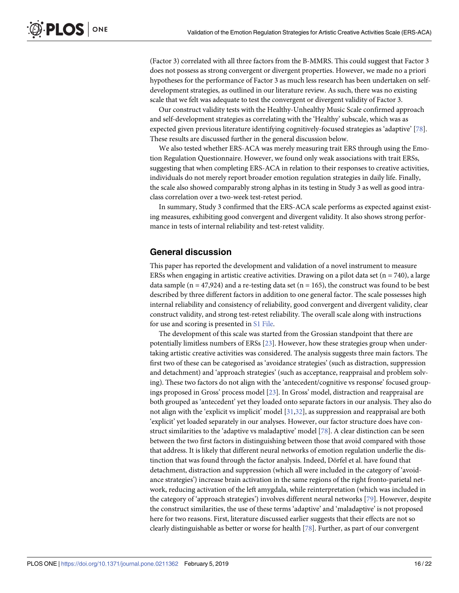<span id="page-15-0"></span>(Factor 3) correlated with all three factors from the B-MMRS. This could suggest that Factor 3 does not possess as strong convergent or divergent properties. However, we made no a priori hypotheses for the performance of Factor 3 as much less research has been undertaken on selfdevelopment strategies, as outlined in our literature review. As such, there was no existing scale that we felt was adequate to test the convergent or divergent validity of Factor 3.

Our construct validity tests with the Healthy-Unhealthy Music Scale confirmed approach and self-development strategies as correlating with the 'Healthy' subscale, which was as expected given previous literature identifying cognitively-focused strategies as 'adaptive' [[78](#page-21-0)]. These results are discussed further in the general discussion below.

We also tested whether ERS-ACA was merely measuring trait ERS through using the Emotion Regulation Questionnaire. However, we found only weak associations with trait ERSs, suggesting that when completing ERS-ACA in relation to their responses to creative activities, individuals do not merely report broader emotion regulation strategies in daily life. Finally, the scale also showed comparably strong alphas in its testing in Study 3 as well as good intraclass correlation over a two-week test-retest period.

In summary, Study 3 confirmed that the ERS-ACA scale performs as expected against existing measures, exhibiting good convergent and divergent validity. It also shows strong performance in tests of internal reliability and test-retest validity.

## **General discussion**

This paper has reported the development and validation of a novel instrument to measure ERSs when engaging in artistic creative activities. Drawing on a pilot data set ( $n = 740$ ), a large data sample ( $n = 47,924$ ) and a re-testing data set ( $n = 165$ ), the construct was found to be best described by three different factors in addition to one general factor. The scale possesses high internal reliability and consistency of reliability, good convergent and divergent validity, clear construct validity, and strong test-retest reliability. The overall scale along with instructions for use and scoring is presented in S1 [File](#page-17-0).

The development of this scale was started from the Grossian standpoint that there are potentially limitless numbers of ERSs [[23](#page-18-0)]. However, how these strategies group when undertaking artistic creative activities was considered. The analysis suggests three main factors. The first two of these can be categorised as 'avoidance strategies' (such as distraction, suppression and detachment) and 'approach strategies' (such as acceptance, reappraisal and problem solving). These two factors do not align with the 'antecedent/cognitive vs response' focused groupings proposed in Gross' process model [[23](#page-18-0)]. In Gross' model, distraction and reappraisal are both grouped as 'antecedent' yet they loaded onto separate factors in our analysis. They also do not align with the 'explicit vs implicit' model [\[31,32\]](#page-19-0), as suppression and reappraisal are both 'explicit' yet loaded separately in our analyses. However, our factor structure does have construct similarities to the 'adaptive vs maladaptive' model [\[78\]](#page-21-0). A clear distinction can be seen between the two first factors in distinguishing between those that avoid compared with those that address. It is likely that different neural networks of emotion regulation underlie the distinction that was found through the factor analysis. Indeed, Dörfel et al. have found that detachment, distraction and suppression (which all were included in the category of 'avoidance strategies') increase brain activation in the same regions of the right fronto-parietal network, reducing activation of the left amygdala, while reinterpretation (which was included in the category of 'approach strategies') involves different neural networks [\[79\]](#page-21-0). However, despite the construct similarities, the use of these terms 'adaptive' and 'maladaptive' is not proposed here for two reasons. First, literature discussed earlier suggests that their effects are not so clearly distinguishable as better or worse for health [[78](#page-21-0)]. Further, as part of our convergent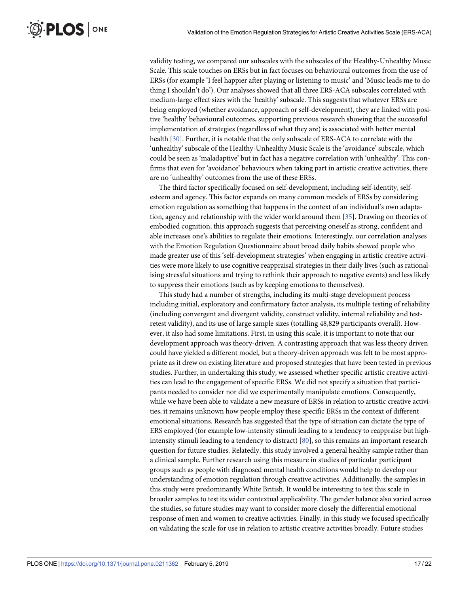<span id="page-16-0"></span>validity testing, we compared our subscales with the subscales of the Healthy-Unhealthy Music Scale. This scale touches on ERSs but in fact focuses on behavioural outcomes from the use of ERSs (for example 'I feel happier after playing or listening to music' and 'Music leads me to do thing I shouldn't do'). Our analyses showed that all three ERS-ACA subscales correlated with medium-large effect sizes with the 'healthy' subscale. This suggests that whatever ERSs are being employed (whether avoidance, approach or self-development), they are linked with positive 'healthy' behavioural outcomes, supporting previous research showing that the successful implementation of strategies (regardless of what they are) is associated with better mental health [\[30\]](#page-19-0). Further, it is notable that the only subscale of ERS-ACA to correlate with the 'unhealthy' subscale of the Healthy-Unhealthy Music Scale is the 'avoidance' subscale, which could be seen as 'maladaptive' but in fact has a negative correlation with 'unhealthy'. This confirms that even for 'avoidance' behaviours when taking part in artistic creative activities, there are no 'unhealthy' outcomes from the use of these ERSs.

The third factor specifically focused on self-development, including self-identity, selfesteem and agency. This factor expands on many common models of ERSs by considering emotion regulation as something that happens in the context of an individual's own adaptation, agency and relationship with the wider world around them [\[35\]](#page-19-0). Drawing on theories of embodied cognition, this approach suggests that perceiving oneself as strong, confident and able increases one's abilities to regulate their emotions. Interestingly, our correlation analyses with the Emotion Regulation Questionnaire about broad daily habits showed people who made greater use of this 'self-development strategies' when engaging in artistic creative activities were more likely to use cognitive reappraisal strategies in their daily lives (such as rationalising stressful situations and trying to rethink their approach to negative events) and less likely to suppress their emotions (such as by keeping emotions to themselves).

This study had a number of strengths, including its multi-stage development process including initial, exploratory and confirmatory factor analysis, its multiple testing of reliability (including convergent and divergent validity, construct validity, internal reliability and testretest validity), and its use of large sample sizes (totalling 48,829 participants overall). However, it also had some limitations. First, in using this scale, it is important to note that our development approach was theory-driven. A contrasting approach that was less theory driven could have yielded a different model, but a theory-driven approach was felt to be most appropriate as it drew on existing literature and proposed strategies that have been tested in previous studies. Further, in undertaking this study, we assessed whether specific artistic creative activities can lead to the engagement of specific ERSs. We did not specify a situation that participants needed to consider nor did we experimentally manipulate emotions. Consequently, while we have been able to validate a new measure of ERSs in relation to artistic creative activities, it remains unknown how people employ these specific ERSs in the context of different emotional situations. Research has suggested that the type of situation can dictate the type of ERS employed (for example low-intensity stimuli leading to a tendency to reappraise but highintensity stimuli leading to a tendency to distract) [[80](#page-21-0)], so this remains an important research question for future studies. Relatedly, this study involved a general healthy sample rather than a clinical sample. Further research using this measure in studies of particular participant groups such as people with diagnosed mental health conditions would help to develop our understanding of emotion regulation through creative activities. Additionally, the samples in this study were predominantly White British. It would be interesting to test this scale in broader samples to test its wider contextual applicability. The gender balance also varied across the studies, so future studies may want to consider more closely the differential emotional response of men and women to creative activities. Finally, in this study we focused specifically on validating the scale for use in relation to artistic creative activities broadly. Future studies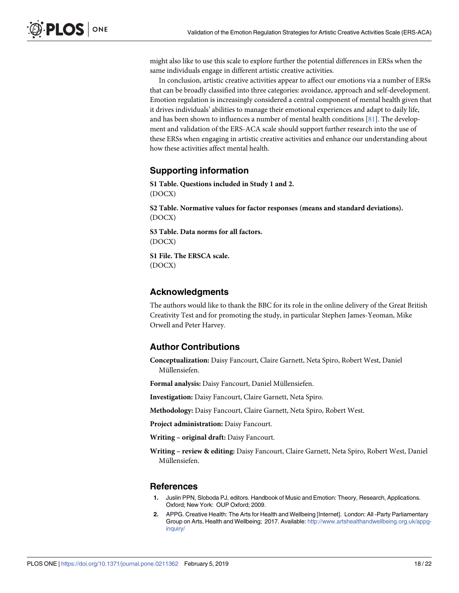<span id="page-17-0"></span>might also like to use this scale to explore further the potential differences in ERSs when the same individuals engage in different artistic creative activities.

In conclusion, artistic creative activities appear to affect our emotions via a number of ERSs that can be broadly classified into three categories: avoidance, approach and self-development. Emotion regulation is increasingly considered a central component of mental health given that it drives individuals' abilities to manage their emotional experiences and adapt to daily life, and has been shown to influences a number of mental health conditions [\[81\]](#page-21-0). The development and validation of the ERS-ACA scale should support further research into the use of these ERSs when engaging in artistic creative activities and enhance our understanding about how these activities affect mental health.

## **Supporting information**

**S1 [Table.](http://www.plosone.org/article/fetchSingleRepresentation.action?uri=info:doi/10.1371/journal.pone.0211362.s001) Questions included in Study 1 and 2.** (DOCX)

**S2 [Table.](http://www.plosone.org/article/fetchSingleRepresentation.action?uri=info:doi/10.1371/journal.pone.0211362.s002) Normative values for factor responses (means and standard deviations).** (DOCX)

**S3 [Table.](http://www.plosone.org/article/fetchSingleRepresentation.action?uri=info:doi/10.1371/journal.pone.0211362.s003) Data norms for all factors.** (DOCX)

**S1 [File.](http://www.plosone.org/article/fetchSingleRepresentation.action?uri=info:doi/10.1371/journal.pone.0211362.s004) The ERSCA scale.** (DOCX)

## **Acknowledgments**

The authors would like to thank the BBC for its role in the online delivery of the Great British Creativity Test and for promoting the study, in particular Stephen James-Yeoman, Mike Orwell and Peter Harvey.

### **Author Contributions**

**Conceptualization:** Daisy Fancourt, Claire Garnett, Neta Spiro, Robert West, Daniel Müllensiefen.

Formal analysis: Daisy Fancourt, Daniel Müllensiefen.

**Investigation:** Daisy Fancourt, Claire Garnett, Neta Spiro.

**Methodology:** Daisy Fancourt, Claire Garnett, Neta Spiro, Robert West.

**Project administration:** Daisy Fancourt.

**Writing – original draft:** Daisy Fancourt.

**Writing – review & editing:** Daisy Fancourt, Claire Garnett, Neta Spiro, Robert West, Daniel Müllensiefen.

#### **References**

- **[1](#page-1-0).** Juslin PPN, Sloboda PJ, editors. Handbook of Music and Emotion: Theory, Research, Applications. Oxford; New York: OUP Oxford; 2009.
- **2.** APPG. Creative Health: The Arts for Health and Wellbeing [Internet]. London: All -Party Parliamentary Group on Arts, Health and Wellbeing; 2017. Available: [http://www.artshealthandwellbeing.org.uk/appg](http://www.artshealthandwellbeing.org.uk/appg-inquiry/)[inquiry/](http://www.artshealthandwellbeing.org.uk/appg-inquiry/)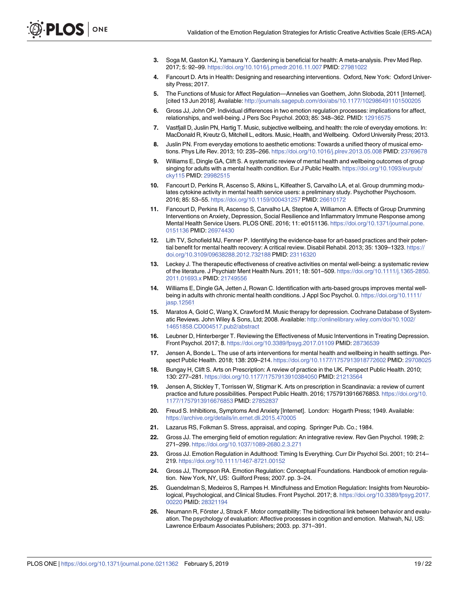- <span id="page-18-0"></span>**3.** Soga M, Gaston KJ, Yamaura Y. Gardening is beneficial for health: A meta-analysis. Prev Med Rep. 2017; 5: 92–99. <https://doi.org/10.1016/j.pmedr.2016.11.007> PMID: [27981022](http://www.ncbi.nlm.nih.gov/pubmed/27981022)
- **[4](#page-1-0).** Fancourt D. Arts in Health: Designing and researching interventions. Oxford, New York: Oxford University Press; 2017.
- **[5](#page-1-0).** The Functions of Music for Affect Regulation—Annelies van Goethem, John Sloboda, 2011 [Internet]. [cited 13 Jun 2018]. Available: <http://journals.sagepub.com/doi/abs/10.1177/102986491101500205>
- **[6](#page-1-0).** Gross JJ, John OP. Individual differences in two emotion regulation processes: implications for affect, relationships, and well-being. J Pers Soc Psychol. 2003; 85: 348–362. PMID: [12916575](http://www.ncbi.nlm.nih.gov/pubmed/12916575)
- **[7](#page-1-0).** Vastfjall D, Juslin PN, Hartig T. Music, subjective wellbeing, and health: the role of everyday emotions. In: MacDonald R, Kreutz G, Mitchell L, editors. Music, Health, and Wellbeing. Oxford University Press; 2013.
- **[8](#page-1-0).** Juslin PN. From everyday emotions to aesthetic emotions: Towards a unified theory of musical emotions. Phys Life Rev. 2013; 10: 235–266. <https://doi.org/10.1016/j.plrev.2013.05.008> PMID: [23769678](http://www.ncbi.nlm.nih.gov/pubmed/23769678)
- **[9](#page-1-0).** Williams E, Dingle GA, Clift S. A systematic review of mental health and wellbeing outcomes of group singing for adults with a mental health condition. Eur J Public Health. [https://doi.org/10.1093/eurpub/](https://doi.org/10.1093/eurpub/cky115) [cky115](https://doi.org/10.1093/eurpub/cky115) PMID: [29982515](http://www.ncbi.nlm.nih.gov/pubmed/29982515)
- **10.** Fancourt D, Perkins R, Ascenso S, Atkins L, Kilfeather S, Carvalho LA, et al. Group drumming modulates cytokine activity in mental health service users: a preliminary study. Psychother Psychosom. 2016; 85: 53–55. <https://doi.org/10.1159/000431257> PMID: [26610172](http://www.ncbi.nlm.nih.gov/pubmed/26610172)
- **11.** Fancourt D, Perkins R, Ascenso S, Carvalho LA, Steptoe A, Williamon A. Effects of Group Drumming Interventions on Anxiety, Depression, Social Resilience and Inflammatory Immune Response among Mental Health Service Users. PLOS ONE. 2016; 11: e0151136. [https://doi.org/10.1371/journal.pone.](https://doi.org/10.1371/journal.pone.0151136) [0151136](https://doi.org/10.1371/journal.pone.0151136) PMID: [26974430](http://www.ncbi.nlm.nih.gov/pubmed/26974430)
- **12.** Lith TV, Schofield MJ, Fenner P. Identifying the evidence-base for art-based practices and their potential benefit for mental health recovery: A critical review. Disabil Rehabil. 2013; 35: 1309–1323. [https://](https://doi.org/10.3109/09638288.2012.732188) [doi.org/10.3109/09638288.2012.732188](https://doi.org/10.3109/09638288.2012.732188) PMID: [23116320](http://www.ncbi.nlm.nih.gov/pubmed/23116320)
- **13.** Leckey J. The therapeutic effectiveness of creative activities on mental well-being: a systematic review of the literature. J Psychiatr Ment Health Nurs. 2011; 18: 501–509. [https://doi.org/10.1111/j.1365-2850.](https://doi.org/10.1111/j.1365-2850.2011.01693.x) [2011.01693.x](https://doi.org/10.1111/j.1365-2850.2011.01693.x) PMID: [21749556](http://www.ncbi.nlm.nih.gov/pubmed/21749556)
- **14.** Williams E, Dingle GA, Jetten J, Rowan C. Identification with arts-based groups improves mental wellbeing in adults with chronic mental health conditions. J Appl Soc Psychol. 0. [https://doi.org/10.1111/](https://doi.org/10.1111/jasp.12561) [jasp.12561](https://doi.org/10.1111/jasp.12561)
- **15.** Maratos A, Gold C, Wang X, Crawford M. Music therapy for depression. Cochrane Database of Systematic Reviews. John Wiley & Sons, Ltd; 2008. Available: [http://onlinelibrary.wiley.com/doi/10.1002/](http://onlinelibrary.wiley.com/doi/10.1002/14651858.CD004517.pub2/abstract) [14651858.CD004517.pub2/abstract](http://onlinelibrary.wiley.com/doi/10.1002/14651858.CD004517.pub2/abstract)
- **[16](#page-1-0).** Leubner D, Hinterberger T. Reviewing the Effectiveness of Music Interventions in Treating Depression. Front Psychol. 2017; 8. <https://doi.org/10.3389/fpsyg.2017.01109> PMID: [28736539](http://www.ncbi.nlm.nih.gov/pubmed/28736539)
- **[17](#page-1-0).** Jensen A, Bonde L. The use of arts interventions for mental health and wellbeing in health settings. Perspect Public Health. 2018; 138: 209–214. <https://doi.org/10.1177/1757913918772602> PMID: [29708025](http://www.ncbi.nlm.nih.gov/pubmed/29708025)
- **18.** Bungay H, Clift S. Arts on Prescription: A review of practice in the UK. Perspect Public Health. 2010; 130: 277–281. <https://doi.org/10.1177/1757913910384050> PMID: [21213564](http://www.ncbi.nlm.nih.gov/pubmed/21213564)
- **[19](#page-1-0).** Jensen A, Stickley T, Torrissen W, Stigmar K. Arts on prescription in Scandinavia: a review of current practice and future possibilities. Perspect Public Health. 2016; 1757913916676853. [https://doi.org/10.](https://doi.org/10.1177/1757913916676853) [1177/1757913916676853](https://doi.org/10.1177/1757913916676853) PMID: [27852837](http://www.ncbi.nlm.nih.gov/pubmed/27852837)
- **[20](#page-1-0).** Freud S. Inhibitions, Symptoms And Anxiety [Internet]. London: Hogarth Press; 1949. Available: <https://archive.org/details/in.ernet.dli.2015.470005>
- **[21](#page-1-0).** Lazarus RS, Folkman S. Stress, appraisal, and coping. Springer Pub. Co.; 1984.
- **[22](#page-1-0).** Gross JJ. The emerging field of emotion regulation: An integrative review. Rev Gen Psychol. 1998; 2: 271–299. <https://doi.org/10.1037/1089-2680.2.3.271>
- **[23](#page-1-0).** Gross JJ. Emotion Regulation in Adulthood: Timing Is Everything. Curr Dir Psychol Sci. 2001; 10: 214– 219. <https://doi.org/10.1111/1467-8721.00152>
- **[24](#page-2-0).** Gross JJ, Thompson RA. Emotion Regulation: Conceptual Foundations. Handbook of emotion regulation. New York, NY, US: Guilford Press; 2007. pp. 3–24.
- **[25](#page-2-0).** Guendelman S, Medeiros S, Rampes H. Mindfulness and Emotion Regulation: Insights from Neurobiological, Psychological, and Clinical Studies. Front Psychol. 2017; 8. [https://doi.org/10.3389/fpsyg.2017.](https://doi.org/10.3389/fpsyg.2017.00220) [00220](https://doi.org/10.3389/fpsyg.2017.00220) PMID: [28321194](http://www.ncbi.nlm.nih.gov/pubmed/28321194)
- **[26](#page-2-0).** Neumann R, Förster J, Strack F. Motor compatibility: The bidirectional link between behavior and evaluation. The psychology of evaluation: Affective processes in cognition and emotion. Mahwah, NJ, US: Lawrence Erlbaum Associates Publishers; 2003. pp. 371–391.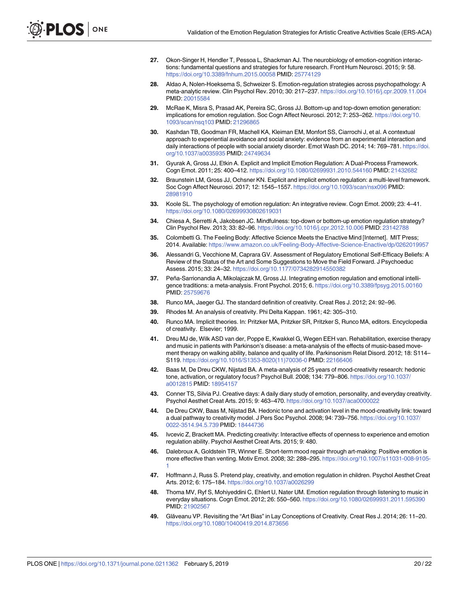- <span id="page-19-0"></span>**[27](#page-2-0).** Okon-Singer H, Hendler T, Pessoa L, Shackman AJ. The neurobiology of emotion-cognition interactions: fundamental questions and strategies for future research. Front Hum Neurosci. 2015; 9: 58. <https://doi.org/10.3389/fnhum.2015.00058> PMID: [25774129](http://www.ncbi.nlm.nih.gov/pubmed/25774129)
- **[28](#page-2-0).** Aldao A, Nolen-Hoeksema S, Schweizer S. Emotion-regulation strategies across psychopathology: A meta-analytic review. Clin Psychol Rev. 2010; 30: 217–237. <https://doi.org/10.1016/j.cpr.2009.11.004> PMID: [20015584](http://www.ncbi.nlm.nih.gov/pubmed/20015584)
- **[29](#page-2-0).** McRae K, Misra S, Prasad AK, Pereira SC, Gross JJ. Bottom-up and top-down emotion generation: implications for emotion regulation. Soc Cogn Affect Neurosci. 2012; 7: 253–262. [https://doi.org/10.](https://doi.org/10.1093/scan/nsq103) [1093/scan/nsq103](https://doi.org/10.1093/scan/nsq103) PMID: [21296865](http://www.ncbi.nlm.nih.gov/pubmed/21296865)
- **[30](#page-2-0).** Kashdan TB, Goodman FR, Machell KA, Kleiman EM, Monfort SS, Ciarrochi J, et al. A contextual approach to experiential avoidance and social anxiety: evidence from an experimental interaction and daily interactions of people with social anxiety disorder. Emot Wash DC. 2014; 14: 769–781. [https://doi.](https://doi.org/10.1037/a0035935) [org/10.1037/a0035935](https://doi.org/10.1037/a0035935) PMID: [24749634](http://www.ncbi.nlm.nih.gov/pubmed/24749634)
- **[31](#page-2-0).** Gyurak A, Gross JJ, Etkin A. Explicit and Implicit Emotion Regulation: A Dual-Process Framework. Cogn Emot. 2011; 25: 400–412. <https://doi.org/10.1080/02699931.2010.544160> PMID: [21432682](http://www.ncbi.nlm.nih.gov/pubmed/21432682)
- **[32](#page-2-0).** Braunstein LM, Gross JJ, Ochsner KN. Explicit and implicit emotion regulation: a multi-level framework. Soc Cogn Affect Neurosci. 2017; 12: 1545–1557. <https://doi.org/10.1093/scan/nsx096> PMID: [28981910](http://www.ncbi.nlm.nih.gov/pubmed/28981910)
- **[33](#page-3-0).** Koole SL. The psychology of emotion regulation: An integrative review. Cogn Emot. 2009; 23: 4–41. <https://doi.org/10.1080/02699930802619031>
- **[34](#page-3-0).** Chiesa A, Serretti A, Jakobsen JC. Mindfulness: top-down or bottom-up emotion regulation strategy? Clin Psychol Rev. 2013; 33: 82–96. <https://doi.org/10.1016/j.cpr.2012.10.006> PMID: [23142788](http://www.ncbi.nlm.nih.gov/pubmed/23142788)
- **[35](#page-3-0).** Colombetti G. The Feeling Body: Affective Science Meets the Enactive Mind [Internet]. MIT Press; 2014. Available: <https://www.amazon.co.uk/Feeling-Body-Affective-Science-Enactive/dp/0262019957>
- **[36](#page-3-0).** Alessandri G, Vecchione M, Caprara GV. Assessment of Regulatory Emotional Self-Efficacy Beliefs: A Review of the Status of the Art and Some Suggestions to Move the Field Forward. J Psychoeduc Assess. 2015; 33: 24–32. <https://doi.org/10.1177/0734282914550382>
- **[37](#page-3-0).** Peña-Sarrionandia A, Mikolajczak M, Gross JJ. Integrating emotion regulation and emotional intelligence traditions: a meta-analysis. Front Psychol. 2015; 6. <https://doi.org/10.3389/fpsyg.2015.00160> PMID: [25759676](http://www.ncbi.nlm.nih.gov/pubmed/25759676)
- **[38](#page-3-0).** Runco MA, Jaeger GJ. The standard definition of creativity. Creat Res J. 2012; 24: 92–96.
- **[39](#page-3-0).** Rhodes M. An analysis of creativity. Phi Delta Kappan. 1961; 42: 305–310.
- **[40](#page-4-0).** Runco MA. Implicit theories. In: Pritzker MA, Pritzker SR, Pritzker S, Runco MA, editors. Encyclopedia of creativity. Elsevier; 1999.
- **[41](#page-4-0).** Dreu MJ de, Wilk ASD van der, Poppe E, Kwakkel G, Wegen EEH van. Rehabilitation, exercise therapy and music in patients with Parkinson's disease: a meta-analysis of the effects of music-based movement therapy on walking ability, balance and quality of life. Parkinsonism Relat Disord. 2012; 18: S114– S119. [https://doi.org/10.1016/S1353-8020\(11\)70036-0](https://doi.org/10.1016/S1353-8020(11)70036-0) PMID: [22166406](http://www.ncbi.nlm.nih.gov/pubmed/22166406)
- **[42](#page-4-0).** Baas M, De Dreu CKW, Nijstad BA. A meta-analysis of 25 years of mood-creativity research: hedonic tone, activation, or regulatory focus? Psychol Bull. 2008; 134: 779–806. [https://doi.org/10.1037/](https://doi.org/10.1037/a0012815) [a0012815](https://doi.org/10.1037/a0012815) PMID: [18954157](http://www.ncbi.nlm.nih.gov/pubmed/18954157)
- **[43](#page-4-0).** Conner TS, Silvia PJ. Creative days: A daily diary study of emotion, personality, and everyday creativity. Psychol Aesthet Creat Arts. 2015; 9: 463–470. <https://doi.org/10.1037/aca0000022>
- **[44](#page-4-0).** De Dreu CKW, Baas M, Nijstad BA. Hedonic tone and activation level in the mood-creativity link: toward a dual pathway to creativity model. J Pers Soc Psychol. 2008; 94: 739–756. [https://doi.org/10.1037/](https://doi.org/10.1037/0022-3514.94.5.739) [0022-3514.94.5.739](https://doi.org/10.1037/0022-3514.94.5.739) PMID: [18444736](http://www.ncbi.nlm.nih.gov/pubmed/18444736)
- **[45](#page-4-0).** Ivcevic Z, Brackett MA. Predicting creativity: Interactive effects of openness to experience and emotion regulation ability. Psychol Aesthet Creat Arts. 2015; 9: 480.
- **[46](#page-4-0).** Dalebroux A, Goldstein TR, Winner E. Short-term mood repair through art-making: Positive emotion is more effective than venting. Motiv Emot. 2008; 32: 288–295. [https://doi.org/10.1007/s11031-008-9105-](https://doi.org/10.1007/s11031-008-9105-1) [1](https://doi.org/10.1007/s11031-008-9105-1)
- **47.** Hoffmann J, Russ S. Pretend play, creativity, and emotion regulation in children. Psychol Aesthet Creat Arts. 2012; 6: 175–184. <https://doi.org/10.1037/a0026299>
- **[48](#page-4-0).** Thoma MV, Ryf S, Mohiyeddini C, Ehlert U, Nater UM. Emotion regulation through listening to music in everyday situations. Cogn Emot. 2012; 26: 550–560. <https://doi.org/10.1080/02699931.2011.595390> PMID: [21902567](http://www.ncbi.nlm.nih.gov/pubmed/21902567)
- **[49](#page-4-0).** Glăveanu VP. Revisiting the "Art Bias" in Lay Conceptions of Creativity. Creat Res J. 2014; 26: 11–20. <https://doi.org/10.1080/10400419.2014.873656>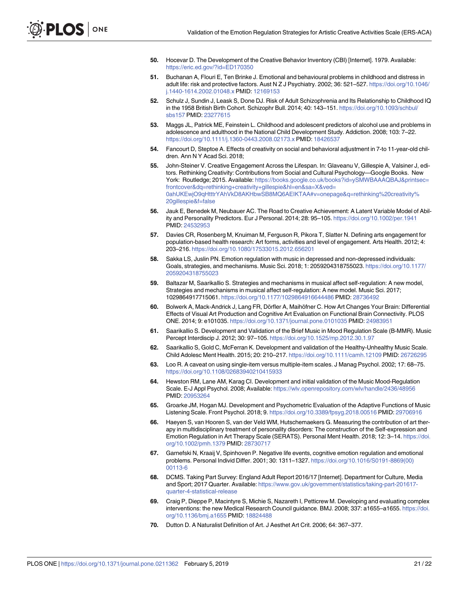- <span id="page-20-0"></span>**[50](#page-4-0).** Hocevar D. The Development of the Creative Behavior Inventory (CBI) [Internet]. 1979. Available: <https://eric.ed.gov/?id=ED170350>
- **[51](#page-4-0).** Buchanan A, Flouri E, Ten Brinke J. Emotional and behavioural problems in childhood and distress in adult life: risk and protective factors. Aust N Z J Psychiatry. 2002; 36: 521–527. [https://doi.org/10.1046/](https://doi.org/10.1046/j.1440-1614.2002.01048.x) [j.1440-1614.2002.01048.x](https://doi.org/10.1046/j.1440-1614.2002.01048.x) PMID: [12169153](http://www.ncbi.nlm.nih.gov/pubmed/12169153)
- **52.** Schulz J, Sundin J, Leask S, Done DJ. Risk of Adult Schizophrenia and Its Relationship to Childhood IQ in the 1958 British Birth Cohort. Schizophr Bull. 2014; 40: 143–151. [https://doi.org/10.1093/schbul/](https://doi.org/10.1093/schbul/sbs157) [sbs157](https://doi.org/10.1093/schbul/sbs157) PMID: [23277615](http://www.ncbi.nlm.nih.gov/pubmed/23277615)
- **53.** Maggs JL, Patrick ME, Feinstein L. Childhood and adolescent predictors of alcohol use and problems in adolescence and adulthood in the National Child Development Study. Addiction. 2008; 103: 7–22. <https://doi.org/10.1111/j.1360-0443.2008.02173.x> PMID: [18426537](http://www.ncbi.nlm.nih.gov/pubmed/18426537)
- **[54](#page-4-0).** Fancourt D, Steptoe A. Effects of creativity on social and behavioral adjustment in 7-to 11-year-old children. Ann N Y Acad Sci. 2018;
- **[55](#page-4-0).** John-Steiner V. Creative Engagement Across the Lifespan. In: Glaveanu V, Gillespie A, Valsiner J, editors. Rethinking Creativity: Contributions from Social and Cultural Psychology—Google Books. New York: Routledge; 2015. Available: [https://books.google.co.uk/books?id=ySMWBAAAQBAJ&printsec=](https://books.google.co.uk/books?id=ySMWBAAAQBAJ&printsec=frontcover&dq=rethinking+creativity+gillespie&hl=en&sa=X&ved=0ahUKEwjO9qHtttrYAhVkD8AKHbwSB8MQ6AEIKTAA#v=onepage&q=rethinking%20creativity%20gillespie&f=false) [frontcover&dq=rethinking+creativity+gillespie&hl=en&sa=X&ved=](https://books.google.co.uk/books?id=ySMWBAAAQBAJ&printsec=frontcover&dq=rethinking+creativity+gillespie&hl=en&sa=X&ved=0ahUKEwjO9qHtttrYAhVkD8AKHbwSB8MQ6AEIKTAA#v=onepage&q=rethinking%20creativity%20gillespie&f=false) [0ahUKEwjO9qHtttrYAhVkD8AKHbwSB8MQ6AEIKTAA#v=onepage&q=rethinking%20creativity%](https://books.google.co.uk/books?id=ySMWBAAAQBAJ&printsec=frontcover&dq=rethinking+creativity+gillespie&hl=en&sa=X&ved=0ahUKEwjO9qHtttrYAhVkD8AKHbwSB8MQ6AEIKTAA#v=onepage&q=rethinking%20creativity%20gillespie&f=false) [20gillespie&f=false](https://books.google.co.uk/books?id=ySMWBAAAQBAJ&printsec=frontcover&dq=rethinking+creativity+gillespie&hl=en&sa=X&ved=0ahUKEwjO9qHtttrYAhVkD8AKHbwSB8MQ6AEIKTAA#v=onepage&q=rethinking%20creativity%20gillespie&f=false)
- **[56](#page-4-0).** Jauk E, Benedek M, Neubauer AC. The Road to Creative Achievement: A Latent Variable Model of Ability and Personality Predictors. Eur J Personal. 2014; 28: 95–105. <https://doi.org/10.1002/per.1941> PMID: [24532953](http://www.ncbi.nlm.nih.gov/pubmed/24532953)
- **[57](#page-4-0).** Davies CR, Rosenberg M, Knuiman M, Ferguson R, Pikora T, Slatter N. Defining arts engagement for population-based health research: Art forms, activities and level of engagement. Arts Health. 2012; 4: 203–216. <https://doi.org/10.1080/17533015.2012.656201>
- **[58](#page-4-0).** Sakka LS, Juslin PN. Emotion regulation with music in depressed and non-depressed individuals: Goals, strategies, and mechanisms. Music Sci. 2018; 1: 2059204318755023. [https://doi.org/10.1177/](https://doi.org/10.1177/2059204318755023) [2059204318755023](https://doi.org/10.1177/2059204318755023)
- **[59](#page-5-0).** Baltazar M, Saarikallio S. Strategies and mechanisms in musical affect self-regulation: A new model, Strategies and mechanisms in musical affect self-regulation: A new model. Music Sci. 2017; 1029864917715061. <https://doi.org/10.1177/1029864916644486> PMID: [28736492](http://www.ncbi.nlm.nih.gov/pubmed/28736492)
- **[60](#page-5-0).** Bolwerk A, Mack-Andrick J, Lang FR, Dörfler A, Maihöfner C. How Art Changes Your Brain: Differential Effects of Visual Art Production and Cognitive Art Evaluation on Functional Brain Connectivity. PLOS ONE. 2014; 9: e101035. <https://doi.org/10.1371/journal.pone.0101035> PMID: [24983951](http://www.ncbi.nlm.nih.gov/pubmed/24983951)
- **[61](#page-5-0).** Saarikallio S. Development and Validation of the Brief Music in Mood Regulation Scale (B-MMR). Music Percept Interdiscip J. 2012; 30: 97–105. <https://doi.org/10.1525/mp.2012.30.1.97>
- **[62](#page-5-0).** Saarikallio S, Gold C, McFerran K. Development and validation of the Healthy-Unhealthy Music Scale. Child Adolesc Ment Health. 2015; 20: 210–217. <https://doi.org/10.1111/camh.12109> PMID: [26726295](http://www.ncbi.nlm.nih.gov/pubmed/26726295)
- **[63](#page-5-0).** Loo R. A caveat on using single-item versus multiple-item scales. J Manag Psychol. 2002; 17: 68–75. <https://doi.org/10.1108/02683940210415933>
- **[64](#page-5-0).** Hewston RM, Lane AM, Karag CI. Development and initial validation of the Music Mood-Regulation Scale. E-J Appl Psychol. 2008; Available: <https://wlv.openrepository.com/wlv/handle/2436/48956> PMID: [20953264](http://www.ncbi.nlm.nih.gov/pubmed/20953264)
- **[65](#page-6-0).** Groarke JM, Hogan MJ. Development and Psychometric Evaluation of the Adaptive Functions of Music Listening Scale. Front Psychol. 2018; 9. <https://doi.org/10.3389/fpsyg.2018.00516> PMID: [29706916](http://www.ncbi.nlm.nih.gov/pubmed/29706916)
- **[66](#page-6-0).** Haeyen S, van Hooren S, van der Veld WM, Hutschemaekers G. Measuring the contribution of art therapy in multidisciplinary treatment of personality disorders: The construction of the Self-expression and Emotion Regulation in Art Therapy Scale (SERATS). Personal Ment Health. 2018; 12: 3–14. [https://doi.](https://doi.org/10.1002/pmh.1379) [org/10.1002/pmh.1379](https://doi.org/10.1002/pmh.1379) PMID: [28730717](http://www.ncbi.nlm.nih.gov/pubmed/28730717)
- **[67](#page-6-0).** Garnefski N, Kraaij V, Spinhoven P. Negative life events, cognitive emotion regulation and emotional problems. Personal Individ Differ. 2001; 30: 1311–1327. [https://doi.org/10.1016/S0191-8869\(00\)](https://doi.org/10.1016/S0191-8869(00)00113-6) [00113-6](https://doi.org/10.1016/S0191-8869(00)00113-6)
- **[68](#page-7-0).** DCMS. Taking Part Survey: England Adult Report 2016/17 [Internet]. Department for Culture, Media and Sport; 2017 Quarter. Available: [https://www.gov.uk/government/statistics/taking-part-201617](https://www.gov.uk/government/statistics/taking-part-201617-quarter-4-statistical-release) [quarter-4-statistical-release](https://www.gov.uk/government/statistics/taking-part-201617-quarter-4-statistical-release)
- **[69](#page-7-0).** Craig P, Dieppe P, Macintyre S, Michie S, Nazareth I, Petticrew M. Developing and evaluating complex interventions: the new Medical Research Council guidance. BMJ. 2008; 337: a1655–a1655. [https://doi.](https://doi.org/10.1136/bmj.a1655) [org/10.1136/bmj.a1655](https://doi.org/10.1136/bmj.a1655) PMID: [18824488](http://www.ncbi.nlm.nih.gov/pubmed/18824488)
- **[70](#page-7-0).** Dutton D. A Naturalist Definition of Art. J Aesthet Art Crit. 2006; 64: 367–377.